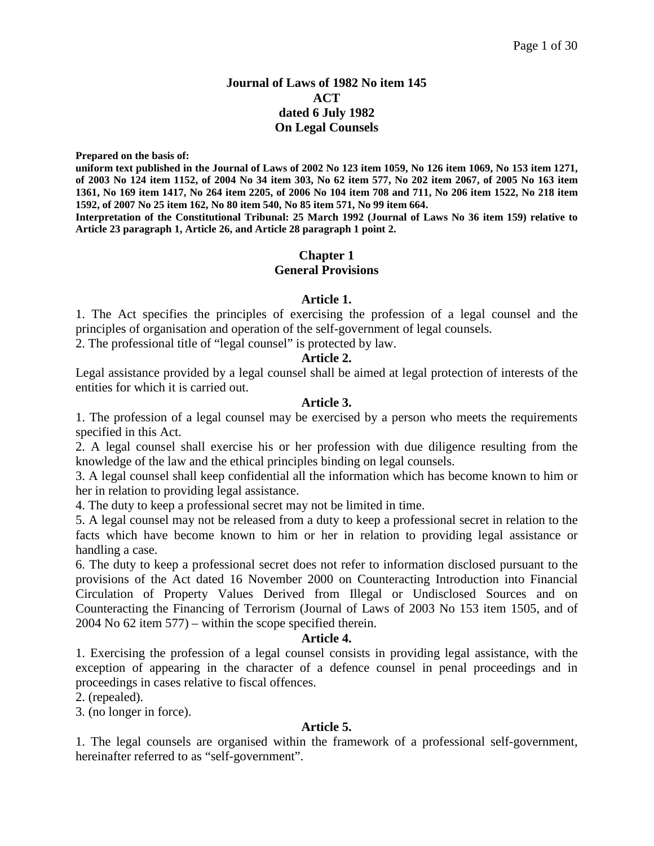### **Journal of Laws of 1982 No item 145 ACT dated 6 July 1982 On Legal Counsels**

**Prepared on the basis of:**

**uniform text published in the Journal of Laws of 2002 No 123 item 1059, No 126 item 1069, No 153 item 1271, of 2003 No 124 item 1152, of 2004 No 34 item 303, No 62 item 577, No 202 item 2067, of 2005 No 163 item 1361, No 169 item 1417, No 264 item 2205, of 2006 No 104 item 708 and 711, No 206 item 1522, No 218 item 1592, of 2007 No 25 item 162, No 80 item 540, No 85 item 571, No 99 item 664.** 

**Interpretation of the Constitutional Tribunal: 25 March 1992 (Journal of Laws No 36 item 159) relative to Article 23 paragraph 1, Article 26, and Article 28 paragraph 1 point 2.**

### **Chapter 1 General Provisions**

#### **Article 1.**

1. The Act specifies the principles of exercising the profession of a legal counsel and the principles of organisation and operation of the self-government of legal counsels.

2. The professional title of "legal counsel" is protected by law.

#### **Article 2.**

Legal assistance provided by a legal counsel shall be aimed at legal protection of interests of the entities for which it is carried out.

#### **Article 3.**

1. The profession of a legal counsel may be exercised by a person who meets the requirements specified in this Act.

2. A legal counsel shall exercise his or her profession with due diligence resulting from the knowledge of the law and the ethical principles binding on legal counsels.

3. A legal counsel shall keep confidential all the information which has become known to him or her in relation to providing legal assistance.

4. The duty to keep a professional secret may not be limited in time.

5. A legal counsel may not be released from a duty to keep a professional secret in relation to the facts which have become known to him or her in relation to providing legal assistance or handling a case.

6. The duty to keep a professional secret does not refer to information disclosed pursuant to the provisions of the Act dated 16 November 2000 on Counteracting Introduction into Financial Circulation of Property Values Derived from Illegal or Undisclosed Sources and on Counteracting the Financing of Terrorism (Journal of Laws of 2003 No 153 item 1505, and of 2004 No 62 item 577) – within the scope specified therein.

#### **Article 4.**

1. Exercising the profession of a legal counsel consists in providing legal assistance, with the exception of appearing in the character of a defence counsel in penal proceedings and in proceedings in cases relative to fiscal offences.

2. (repealed).

3. (no longer in force).

#### **Article 5.**

1. The legal counsels are organised within the framework of a professional self-government, hereinafter referred to as "self-government".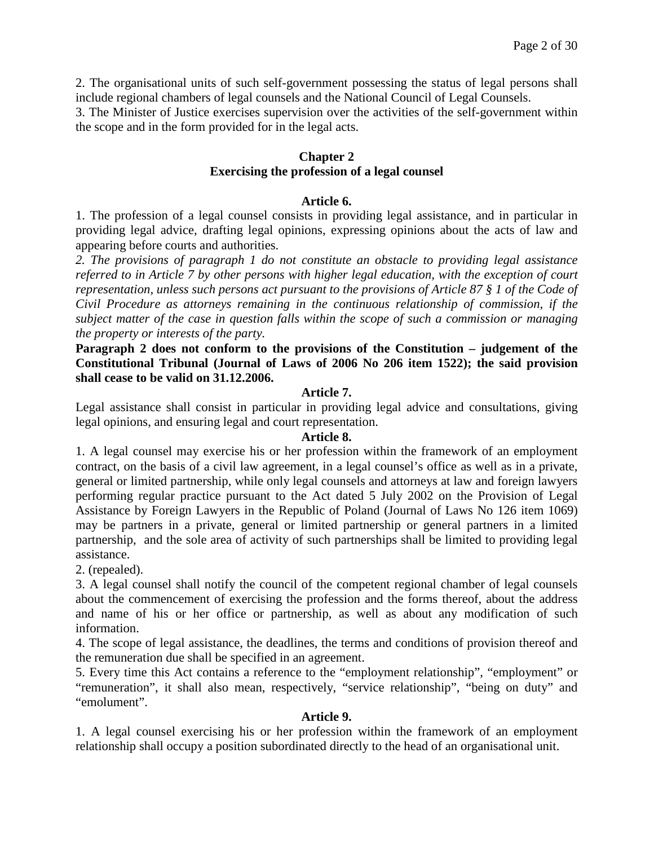2. The organisational units of such self-government possessing the status of legal persons shall include regional chambers of legal counsels and the National Council of Legal Counsels.

3. The Minister of Justice exercises supervision over the activities of the self-government within the scope and in the form provided for in the legal acts.

# **Chapter 2**

### **Exercising the profession of a legal counsel**

### **Article 6.**

1. The profession of a legal counsel consists in providing legal assistance, and in particular in providing legal advice, drafting legal opinions, expressing opinions about the acts of law and appearing before courts and authorities.

*2. The provisions of paragraph 1 do not constitute an obstacle to providing legal assistance referred to in Article 7 by other persons with higher legal education, with the exception of court representation, unless such persons act pursuant to the provisions of Article 87 § 1 of the Code of Civil Procedure as attorneys remaining in the continuous relationship of commission, if the subject matter of the case in question falls within the scope of such a commission or managing the property or interests of the party.*

**Paragraph 2 does not conform to the provisions of the Constitution – judgement of the Constitutional Tribunal (Journal of Laws of 2006 No 206 item 1522); the said provision shall cease to be valid on 31.12.2006.**

### **Article 7.**

Legal assistance shall consist in particular in providing legal advice and consultations, giving legal opinions, and ensuring legal and court representation.

#### **Article 8.**

1. A legal counsel may exercise his or her profession within the framework of an employment contract, on the basis of a civil law agreement, in a legal counsel's office as well as in a private, general or limited partnership, while only legal counsels and attorneys at law and foreign lawyers performing regular practice pursuant to the Act dated 5 July 2002 on the Provision of Legal Assistance by Foreign Lawyers in the Republic of Poland (Journal of Laws No 126 item 1069) may be partners in a private, general or limited partnership or general partners in a limited partnership, and the sole area of activity of such partnerships shall be limited to providing legal assistance.

2. (repealed).

3. A legal counsel shall notify the council of the competent regional chamber of legal counsels about the commencement of exercising the profession and the forms thereof, about the address and name of his or her office or partnership, as well as about any modification of such information.

4. The scope of legal assistance, the deadlines, the terms and conditions of provision thereof and the remuneration due shall be specified in an agreement.

5. Every time this Act contains a reference to the "employment relationship", "employment" or "remuneration", it shall also mean, respectively, "service relationship", "being on duty" and "emolument".

### **Article 9.**

1. A legal counsel exercising his or her profession within the framework of an employment relationship shall occupy a position subordinated directly to the head of an organisational unit.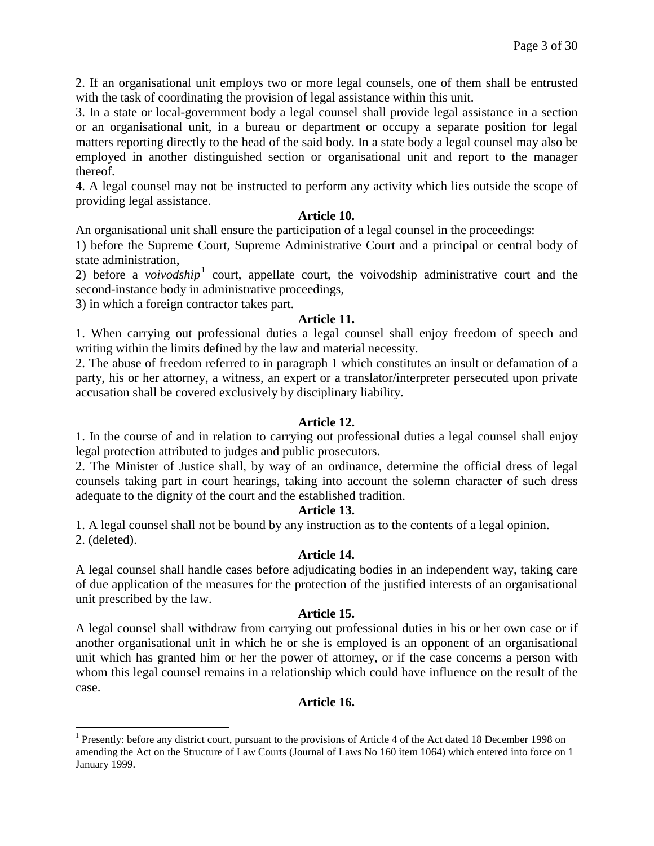2. If an organisational unit employs two or more legal counsels, one of them shall be entrusted with the task of coordinating the provision of legal assistance within this unit.

3. In a state or local-government body a legal counsel shall provide legal assistance in a section or an organisational unit, in a bureau or department or occupy a separate position for legal matters reporting directly to the head of the said body. In a state body a legal counsel may also be employed in another distinguished section or organisational unit and report to the manager thereof.

4. A legal counsel may not be instructed to perform any activity which lies outside the scope of providing legal assistance.

### **Article 10.**

An organisational unit shall ensure the participation of a legal counsel in the proceedings:

1) before the Supreme Court, Supreme Administrative Court and a principal or central body of state administration,

2) before a *voivodship*<sup>[1](#page-2-0)</sup> court, appellate court, the voivodship administrative court and the second-instance body in administrative proceedings,

3) in which a foreign contractor takes part.

#### **Article 11.**

1. When carrying out professional duties a legal counsel shall enjoy freedom of speech and writing within the limits defined by the law and material necessity.

2. The abuse of freedom referred to in paragraph 1 which constitutes an insult or defamation of a party, his or her attorney, a witness, an expert or a translator/interpreter persecuted upon private accusation shall be covered exclusively by disciplinary liability.

### **Article 12.**

1. In the course of and in relation to carrying out professional duties a legal counsel shall enjoy legal protection attributed to judges and public prosecutors.

2. The Minister of Justice shall, by way of an ordinance, determine the official dress of legal counsels taking part in court hearings, taking into account the solemn character of such dress adequate to the dignity of the court and the established tradition.

#### **Article 13.**

1. A legal counsel shall not be bound by any instruction as to the contents of a legal opinion. 2. (deleted).

### **Article 14.**

A legal counsel shall handle cases before adjudicating bodies in an independent way, taking care of due application of the measures for the protection of the justified interests of an organisational unit prescribed by the law.

#### **Article 15.**

A legal counsel shall withdraw from carrying out professional duties in his or her own case or if another organisational unit in which he or she is employed is an opponent of an organisational unit which has granted him or her the power of attorney, or if the case concerns a person with whom this legal counsel remains in a relationship which could have influence on the result of the case.

### **Article 16.**

<span id="page-2-0"></span> <sup>1</sup> Presently: before any district court, pursuant to the provisions of Article 4 of the Act dated 18 December 1998 on amending the Act on the Structure of Law Courts (Journal of Laws No 160 item 1064) which entered into force on 1 January 1999.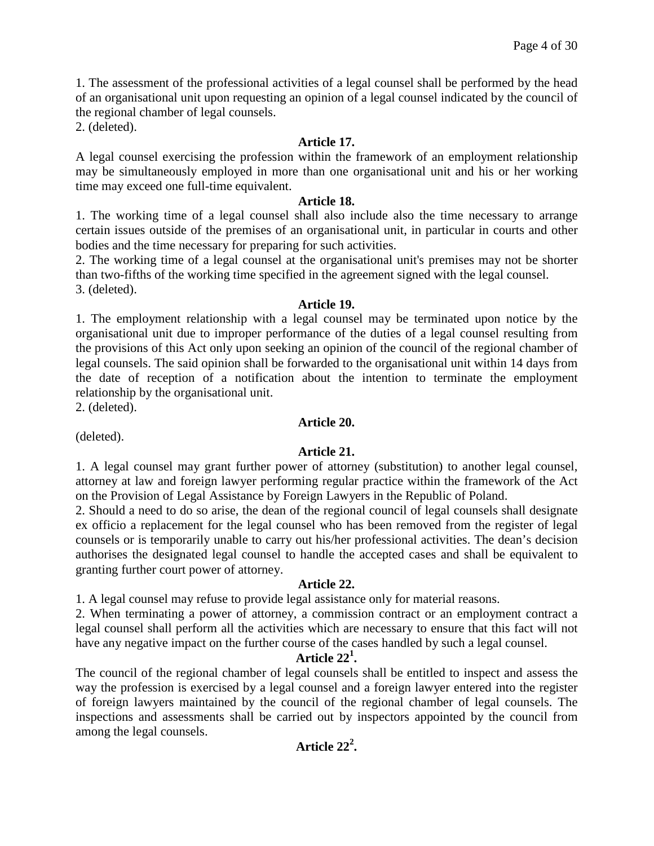1. The assessment of the professional activities of a legal counsel shall be performed by the head of an organisational unit upon requesting an opinion of a legal counsel indicated by the council of the regional chamber of legal counsels.

2. (deleted).

### **Article 17.**

A legal counsel exercising the profession within the framework of an employment relationship may be simultaneously employed in more than one organisational unit and his or her working time may exceed one full-time equivalent.

### **Article 18.**

1. The working time of a legal counsel shall also include also the time necessary to arrange certain issues outside of the premises of an organisational unit, in particular in courts and other bodies and the time necessary for preparing for such activities.

2. The working time of a legal counsel at the organisational unit's premises may not be shorter than two-fifths of the working time specified in the agreement signed with the legal counsel. 3. (deleted).

#### **Article 19.**

1. The employment relationship with a legal counsel may be terminated upon notice by the organisational unit due to improper performance of the duties of a legal counsel resulting from the provisions of this Act only upon seeking an opinion of the council of the regional chamber of legal counsels. The said opinion shall be forwarded to the organisational unit within 14 days from the date of reception of a notification about the intention to terminate the employment relationship by the organisational unit.

2. (deleted).

### **Article 20.**

(deleted).

### **Article 21.**

1. A legal counsel may grant further power of attorney (substitution) to another legal counsel, attorney at law and foreign lawyer performing regular practice within the framework of the Act on the Provision of Legal Assistance by Foreign Lawyers in the Republic of Poland.

2. Should a need to do so arise, the dean of the regional council of legal counsels shall designate ex officio a replacement for the legal counsel who has been removed from the register of legal counsels or is temporarily unable to carry out his/her professional activities. The dean's decision authorises the designated legal counsel to handle the accepted cases and shall be equivalent to granting further court power of attorney.

### **Article 22.**

1. A legal counsel may refuse to provide legal assistance only for material reasons.

2. When terminating a power of attorney, a commission contract or an employment contract a legal counsel shall perform all the activities which are necessary to ensure that this fact will not have any negative impact on the further course of the cases handled by such a legal counsel.

# **Article 22<sup>1</sup> .**

The council of the regional chamber of legal counsels shall be entitled to inspect and assess the way the profession is exercised by a legal counsel and a foreign lawyer entered into the register of foreign lawyers maintained by the council of the regional chamber of legal counsels. The inspections and assessments shall be carried out by inspectors appointed by the council from among the legal counsels.

# **Article 22<sup>2</sup> .**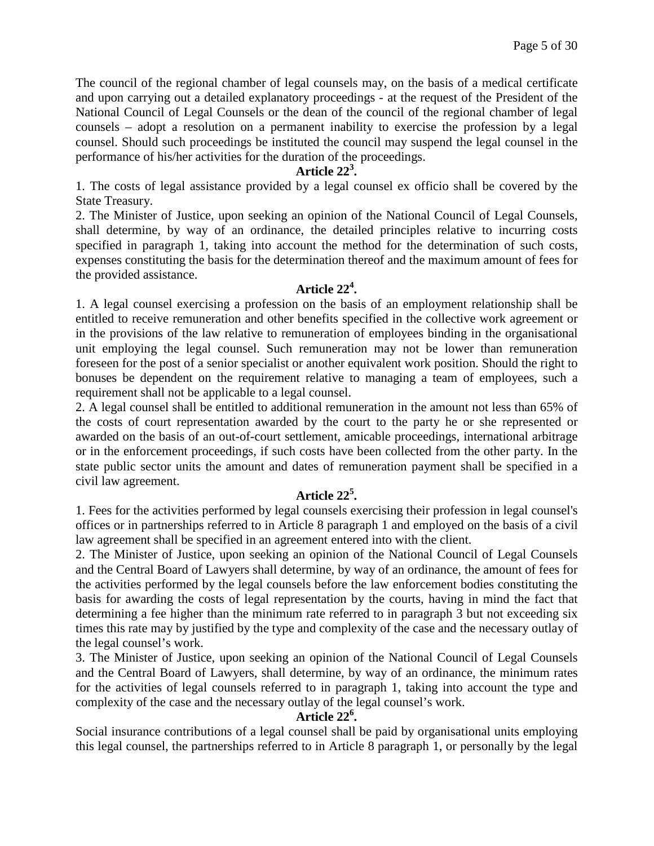The council of the regional chamber of legal counsels may, on the basis of a medical certificate and upon carrying out a detailed explanatory proceedings - at the request of the President of the National Council of Legal Counsels or the dean of the council of the regional chamber of legal counsels – adopt a resolution on a permanent inability to exercise the profession by a legal counsel. Should such proceedings be instituted the council may suspend the legal counsel in the performance of his/her activities for the duration of the proceedings.

# **Article 22<sup>3</sup> .**

1. The costs of legal assistance provided by a legal counsel ex officio shall be covered by the State Treasury.

2. The Minister of Justice, upon seeking an opinion of the National Council of Legal Counsels, shall determine, by way of an ordinance, the detailed principles relative to incurring costs specified in paragraph 1, taking into account the method for the determination of such costs, expenses constituting the basis for the determination thereof and the maximum amount of fees for the provided assistance.

# **Article 22<sup>4</sup> .**

1. A legal counsel exercising a profession on the basis of an employment relationship shall be entitled to receive remuneration and other benefits specified in the collective work agreement or in the provisions of the law relative to remuneration of employees binding in the organisational unit employing the legal counsel. Such remuneration may not be lower than remuneration foreseen for the post of a senior specialist or another equivalent work position. Should the right to bonuses be dependent on the requirement relative to managing a team of employees, such a requirement shall not be applicable to a legal counsel.

2. A legal counsel shall be entitled to additional remuneration in the amount not less than 65% of the costs of court representation awarded by the court to the party he or she represented or awarded on the basis of an out-of-court settlement, amicable proceedings, international arbitrage or in the enforcement proceedings, if such costs have been collected from the other party. In the state public sector units the amount and dates of remuneration payment shall be specified in a civil law agreement.

# **Article 22<sup>5</sup> .**

1. Fees for the activities performed by legal counsels exercising their profession in legal counsel's offices or in partnerships referred to in Article 8 paragraph 1 and employed on the basis of a civil law agreement shall be specified in an agreement entered into with the client.

2. The Minister of Justice, upon seeking an opinion of the National Council of Legal Counsels and the Central Board of Lawyers shall determine, by way of an ordinance, the amount of fees for the activities performed by the legal counsels before the law enforcement bodies constituting the basis for awarding the costs of legal representation by the courts, having in mind the fact that determining a fee higher than the minimum rate referred to in paragraph 3 but not exceeding six times this rate may by justified by the type and complexity of the case and the necessary outlay of the legal counsel's work.

3. The Minister of Justice, upon seeking an opinion of the National Council of Legal Counsels and the Central Board of Lawyers, shall determine, by way of an ordinance, the minimum rates for the activities of legal counsels referred to in paragraph 1, taking into account the type and complexity of the case and the necessary outlay of the legal counsel's work.

# **Article 22<sup>6</sup> .**

Social insurance contributions of a legal counsel shall be paid by organisational units employing this legal counsel, the partnerships referred to in Article 8 paragraph 1, or personally by the legal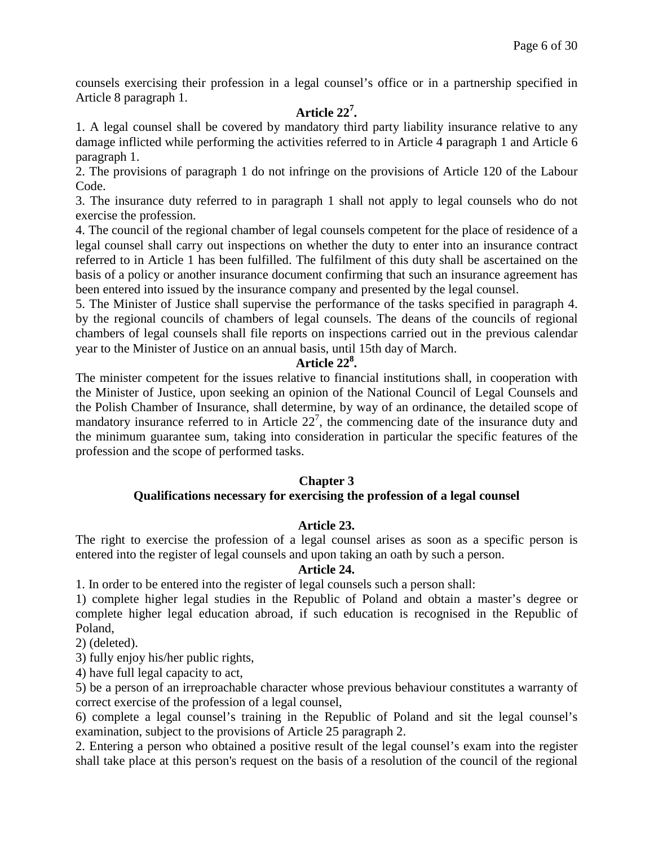counsels exercising their profession in a legal counsel's office or in a partnership specified in Article 8 paragraph 1.

# **Article 22<sup>7</sup> .**

1. A legal counsel shall be covered by mandatory third party liability insurance relative to any damage inflicted while performing the activities referred to in Article 4 paragraph 1 and Article 6 paragraph 1.

2. The provisions of paragraph 1 do not infringe on the provisions of Article 120 of the Labour Code.

3. The insurance duty referred to in paragraph 1 shall not apply to legal counsels who do not exercise the profession.

4. The council of the regional chamber of legal counsels competent for the place of residence of a legal counsel shall carry out inspections on whether the duty to enter into an insurance contract referred to in Article 1 has been fulfilled. The fulfilment of this duty shall be ascertained on the basis of a policy or another insurance document confirming that such an insurance agreement has been entered into issued by the insurance company and presented by the legal counsel.

5. The Minister of Justice shall supervise the performance of the tasks specified in paragraph 4. by the regional councils of chambers of legal counsels. The deans of the councils of regional chambers of legal counsels shall file reports on inspections carried out in the previous calendar year to the Minister of Justice on an annual basis, until 15th day of March.

# **Article 22<sup>8</sup> .**

The minister competent for the issues relative to financial institutions shall, in cooperation with the Minister of Justice, upon seeking an opinion of the National Council of Legal Counsels and the Polish Chamber of Insurance, shall determine, by way of an ordinance, the detailed scope of mandatory insurance referred to in Article  $22<sup>7</sup>$ , the commencing date of the insurance duty and the minimum guarantee sum, taking into consideration in particular the specific features of the profession and the scope of performed tasks.

#### **Chapter 3 Qualifications necessary for exercising the profession of a legal counsel**

### **Article 23.**

The right to exercise the profession of a legal counsel arises as soon as a specific person is entered into the register of legal counsels and upon taking an oath by such a person.

### **Article 24.**

1. In order to be entered into the register of legal counsels such a person shall:

1) complete higher legal studies in the Republic of Poland and obtain a master's degree or complete higher legal education abroad, if such education is recognised in the Republic of Poland,

2) (deleted).

3) fully enjoy his/her public rights,

4) have full legal capacity to act,

5) be a person of an irreproachable character whose previous behaviour constitutes a warranty of correct exercise of the profession of a legal counsel,

6) complete a legal counsel's training in the Republic of Poland and sit the legal counsel's examination, subject to the provisions of Article 25 paragraph 2.

2. Entering a person who obtained a positive result of the legal counsel's exam into the register shall take place at this person's request on the basis of a resolution of the council of the regional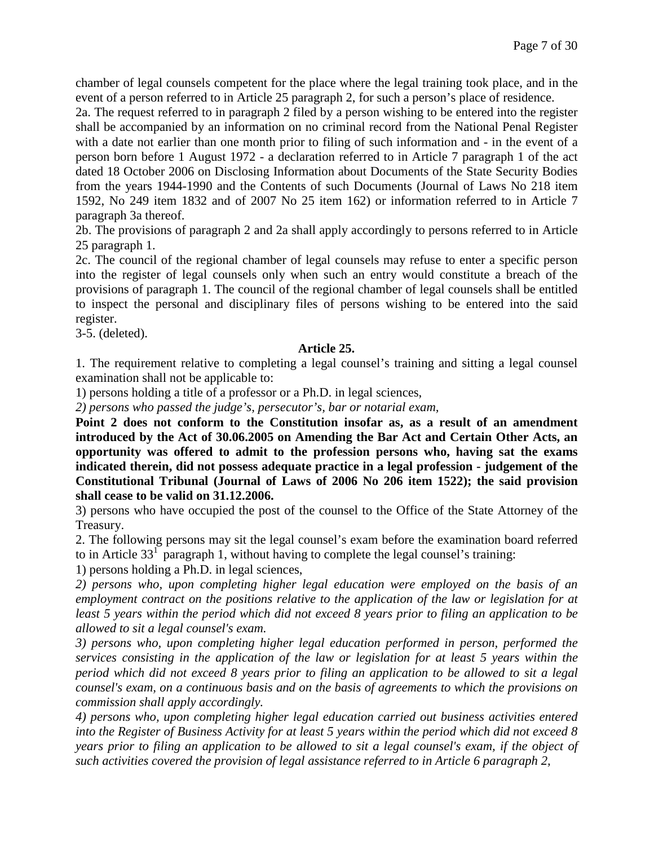chamber of legal counsels competent for the place where the legal training took place, and in the event of a person referred to in Article 25 paragraph 2, for such a person's place of residence.

2a. The request referred to in paragraph 2 filed by a person wishing to be entered into the register shall be accompanied by an information on no criminal record from the National Penal Register with a date not earlier than one month prior to filing of such information and - in the event of a person born before 1 August 1972 - a declaration referred to in Article 7 paragraph 1 of the act dated 18 October 2006 on Disclosing Information about Documents of the State Security Bodies from the years 1944-1990 and the Contents of such Documents (Journal of Laws No 218 item 1592, No 249 item 1832 and of 2007 No 25 item 162) or information referred to in Article 7 paragraph 3a thereof.

2b. The provisions of paragraph 2 and 2a shall apply accordingly to persons referred to in Article 25 paragraph 1.

2c. The council of the regional chamber of legal counsels may refuse to enter a specific person into the register of legal counsels only when such an entry would constitute a breach of the provisions of paragraph 1. The council of the regional chamber of legal counsels shall be entitled to inspect the personal and disciplinary files of persons wishing to be entered into the said register.

3-5. (deleted).

### **Article 25.**

1. The requirement relative to completing a legal counsel's training and sitting a legal counsel examination shall not be applicable to:

1) persons holding a title of a professor or a Ph.D. in legal sciences,

*2) persons who passed the judge's, persecutor's, bar or notarial exam,* 

**Point 2 does not conform to the Constitution insofar as, as a result of an amendment introduced by the Act of 30.06.2005 on Amending the Bar Act and Certain Other Acts, an opportunity was offered to admit to the profession persons who, having sat the exams indicated therein, did not possess adequate practice in a legal profession - judgement of the Constitutional Tribunal (Journal of Laws of 2006 No 206 item 1522); the said provision shall cease to be valid on 31.12.2006.**

3) persons who have occupied the post of the counsel to the Office of the State Attorney of the Treasury.

2. The following persons may sit the legal counsel's exam before the examination board referred to in Article  $33<sup>1</sup>$  paragraph 1, without having to complete the legal counsel's training:

1) persons holding a Ph.D. in legal sciences,

*2) persons who, upon completing higher legal education were employed on the basis of an employment contract on the positions relative to the application of the law or legislation for at least 5 years within the period which did not exceed 8 years prior to filing an application to be allowed to sit a legal counsel's exam.*

*3) persons who, upon completing higher legal education performed in person, performed the services consisting in the application of the law or legislation for at least 5 years within the period which did not exceed 8 years prior to filing an application to be allowed to sit a legal counsel's exam, on a continuous basis and on the basis of agreements to which the provisions on commission shall apply accordingly.*

*4) persons who, upon completing higher legal education carried out business activities entered into the Register of Business Activity for at least 5 years within the period which did not exceed 8 years prior to filing an application to be allowed to sit a legal counsel's exam, if the object of such activities covered the provision of legal assistance referred to in Article 6 paragraph 2,*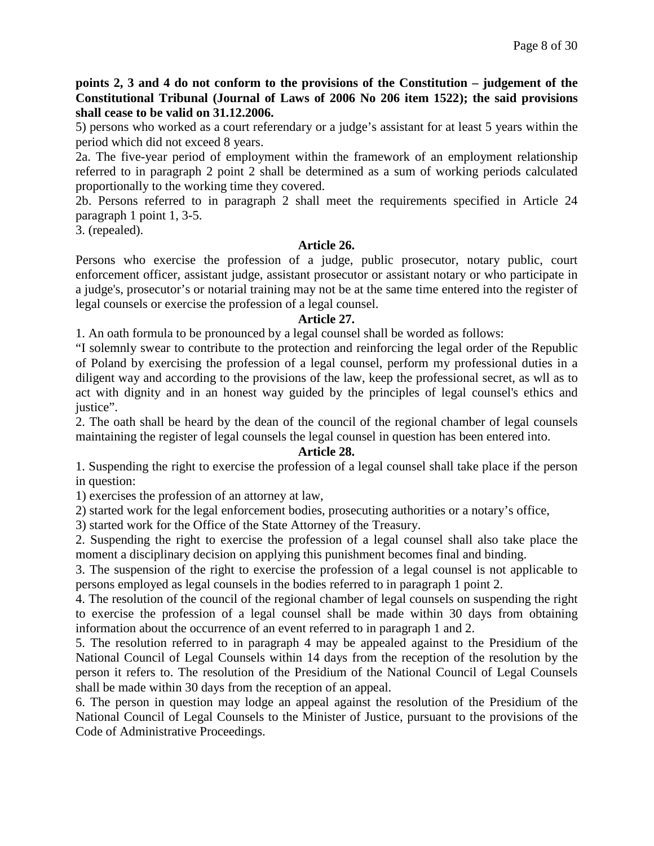**points 2, 3 and 4 do not conform to the provisions of the Constitution – judgement of the Constitutional Tribunal (Journal of Laws of 2006 No 206 item 1522); the said provisions shall cease to be valid on 31.12.2006.**

5) persons who worked as a court referendary or a judge's assistant for at least 5 years within the period which did not exceed 8 years.

2a. The five-year period of employment within the framework of an employment relationship referred to in paragraph 2 point 2 shall be determined as a sum of working periods calculated proportionally to the working time they covered.

2b. Persons referred to in paragraph 2 shall meet the requirements specified in Article 24 paragraph 1 point 1, 3-5.

3. (repealed).

### **Article 26.**

Persons who exercise the profession of a judge, public prosecutor, notary public, court enforcement officer, assistant judge, assistant prosecutor or assistant notary or who participate in a judge's, prosecutor's or notarial training may not be at the same time entered into the register of legal counsels or exercise the profession of a legal counsel.

### **Article 27.**

1. An oath formula to be pronounced by a legal counsel shall be worded as follows:

"I solemnly swear to contribute to the protection and reinforcing the legal order of the Republic of Poland by exercising the profession of a legal counsel, perform my professional duties in a diligent way and according to the provisions of the law, keep the professional secret, as wll as to act with dignity and in an honest way guided by the principles of legal counsel's ethics and justice".

2. The oath shall be heard by the dean of the council of the regional chamber of legal counsels maintaining the register of legal counsels the legal counsel in question has been entered into.

### **Article 28.**

1. Suspending the right to exercise the profession of a legal counsel shall take place if the person in question:

1) exercises the profession of an attorney at law,

2) started work for the legal enforcement bodies, prosecuting authorities or a notary's office,

3) started work for the Office of the State Attorney of the Treasury.

2. Suspending the right to exercise the profession of a legal counsel shall also take place the moment a disciplinary decision on applying this punishment becomes final and binding.

3. The suspension of the right to exercise the profession of a legal counsel is not applicable to persons employed as legal counsels in the bodies referred to in paragraph 1 point 2.

4. The resolution of the council of the regional chamber of legal counsels on suspending the right to exercise the profession of a legal counsel shall be made within 30 days from obtaining information about the occurrence of an event referred to in paragraph 1 and 2.

5. The resolution referred to in paragraph 4 may be appealed against to the Presidium of the National Council of Legal Counsels within 14 days from the reception of the resolution by the person it refers to. The resolution of the Presidium of the National Council of Legal Counsels shall be made within 30 days from the reception of an appeal.

6. The person in question may lodge an appeal against the resolution of the Presidium of the National Council of Legal Counsels to the Minister of Justice, pursuant to the provisions of the Code of Administrative Proceedings.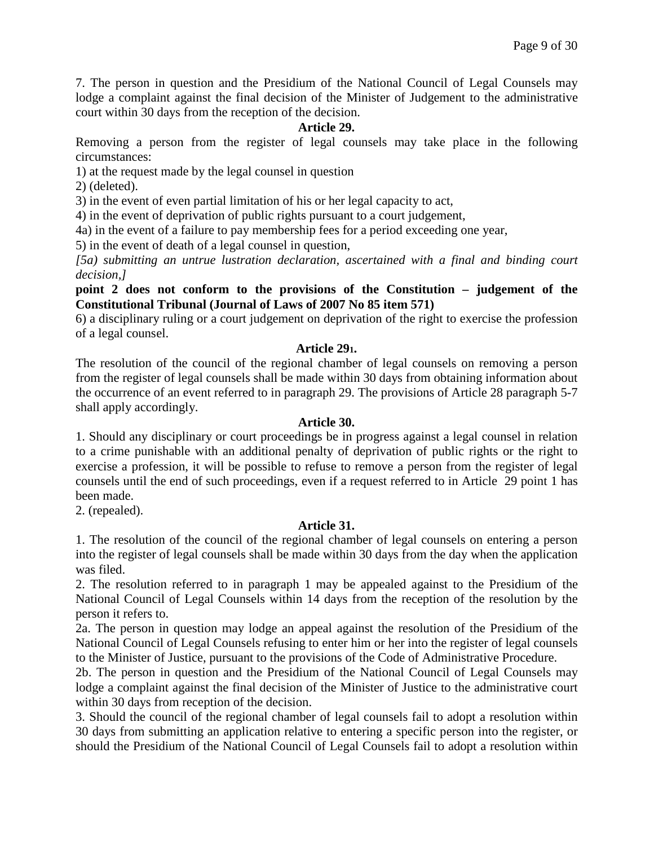7. The person in question and the Presidium of the National Council of Legal Counsels may lodge a complaint against the final decision of the Minister of Judgement to the administrative court within 30 days from the reception of the decision.

### **Article 29.**

Removing a person from the register of legal counsels may take place in the following circumstances:

1) at the request made by the legal counsel in question

2) (deleted).

3) in the event of even partial limitation of his or her legal capacity to act,

4) in the event of deprivation of public rights pursuant to a court judgement,

4a) in the event of a failure to pay membership fees for a period exceeding one year,

5) in the event of death of a legal counsel in question,

*[5a) submitting an untrue lustration declaration, ascertained with a final and binding court decision,]*

### **point 2 does not conform to the provisions of the Constitution – judgement of the Constitutional Tribunal (Journal of Laws of 2007 No 85 item 571)**

6) a disciplinary ruling or a court judgement on deprivation of the right to exercise the profession of a legal counsel.

### **Article 291.**

The resolution of the council of the regional chamber of legal counsels on removing a person from the register of legal counsels shall be made within 30 days from obtaining information about the occurrence of an event referred to in paragraph 29. The provisions of Article 28 paragraph 5-7 shall apply accordingly.

### **Article 30.**

1. Should any disciplinary or court proceedings be in progress against a legal counsel in relation to a crime punishable with an additional penalty of deprivation of public rights or the right to exercise a profession, it will be possible to refuse to remove a person from the register of legal counsels until the end of such proceedings, even if a request referred to in Article 29 point 1 has been made.

2. (repealed).

### **Article 31.**

1. The resolution of the council of the regional chamber of legal counsels on entering a person into the register of legal counsels shall be made within 30 days from the day when the application was filed.

2. The resolution referred to in paragraph 1 may be appealed against to the Presidium of the National Council of Legal Counsels within 14 days from the reception of the resolution by the person it refers to.

2a. The person in question may lodge an appeal against the resolution of the Presidium of the National Council of Legal Counsels refusing to enter him or her into the register of legal counsels to the Minister of Justice, pursuant to the provisions of the Code of Administrative Procedure.

2b. The person in question and the Presidium of the National Council of Legal Counsels may lodge a complaint against the final decision of the Minister of Justice to the administrative court within 30 days from reception of the decision.

3. Should the council of the regional chamber of legal counsels fail to adopt a resolution within 30 days from submitting an application relative to entering a specific person into the register, or should the Presidium of the National Council of Legal Counsels fail to adopt a resolution within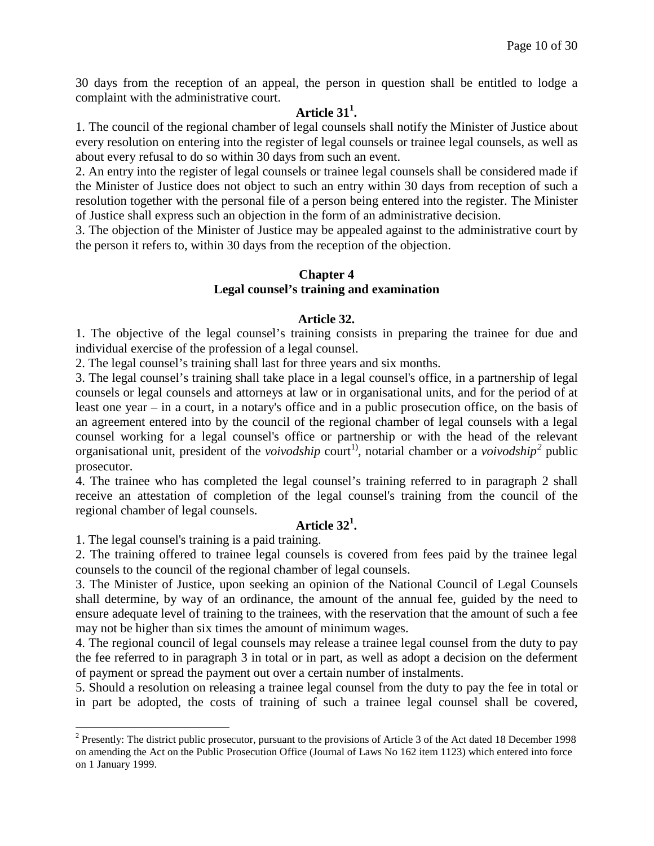30 days from the reception of an appeal, the person in question shall be entitled to lodge a complaint with the administrative court.

# **Article 31<sup>1</sup> .**

1. The council of the regional chamber of legal counsels shall notify the Minister of Justice about every resolution on entering into the register of legal counsels or trainee legal counsels, as well as about every refusal to do so within 30 days from such an event.

2. An entry into the register of legal counsels or trainee legal counsels shall be considered made if the Minister of Justice does not object to such an entry within 30 days from reception of such a resolution together with the personal file of a person being entered into the register. The Minister of Justice shall express such an objection in the form of an administrative decision.

3. The objection of the Minister of Justice may be appealed against to the administrative court by the person it refers to, within 30 days from the reception of the objection.

### **Chapter 4 Legal counsel's training and examination**

### **Article 32.**

1. The objective of the legal counsel's training consists in preparing the trainee for due and individual exercise of the profession of a legal counsel.

2. The legal counsel's training shall last for three years and six months.

3. The legal counsel's training shall take place in a legal counsel's office, in a partnership of legal counsels or legal counsels and attorneys at law or in organisational units, and for the period of at least one year – in a court, in a notary's office and in a public prosecution office, on the basis of an agreement entered into by the council of the regional chamber of legal counsels with a legal counsel working for a legal counsel's office or partnership or with the head of the relevant organisational unit, president of the *voivodship* court<sup>1</sup>, notarial chamber or a *voivodship*<sup>[2](#page-9-0)</sup> public prosecutor.

4. The trainee who has completed the legal counsel's training referred to in paragraph 2 shall receive an attestation of completion of the legal counsel's training from the council of the regional chamber of legal counsels.

# **Article 32<sup>1</sup> .**

1. The legal counsel's training is a paid training.

2. The training offered to trainee legal counsels is covered from fees paid by the trainee legal counsels to the council of the regional chamber of legal counsels.

3. The Minister of Justice, upon seeking an opinion of the National Council of Legal Counsels shall determine, by way of an ordinance, the amount of the annual fee, guided by the need to ensure adequate level of training to the trainees, with the reservation that the amount of such a fee may not be higher than six times the amount of minimum wages.

4. The regional council of legal counsels may release a trainee legal counsel from the duty to pay the fee referred to in paragraph 3 in total or in part, as well as adopt a decision on the deferment of payment or spread the payment out over a certain number of instalments.

5. Should a resolution on releasing a trainee legal counsel from the duty to pay the fee in total or in part be adopted, the costs of training of such a trainee legal counsel shall be covered,

<span id="page-9-0"></span><sup>&</sup>lt;sup>2</sup> Presently: The district public prosecutor, pursuant to the provisions of Article 3 of the Act dated 18 December 1998 on amending the Act on the Public Prosecution Office (Journal of Laws No 162 item 1123) which entered into force on 1 January 1999.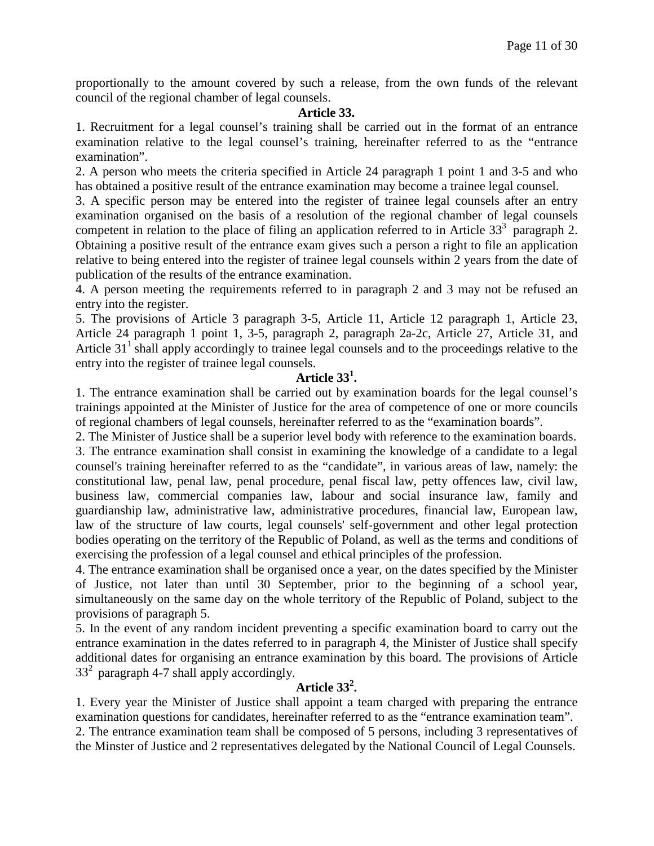proportionally to the amount covered by such a release, from the own funds of the relevant council of the regional chamber of legal counsels.

#### **Article 33.**

1. Recruitment for a legal counsel's training shall be carried out in the format of an entrance examination relative to the legal counsel's training, hereinafter referred to as the "entrance examination".

2. A person who meets the criteria specified in Article 24 paragraph 1 point 1 and 3-5 and who has obtained a positive result of the entrance examination may become a trainee legal counsel.

3. A specific person may be entered into the register of trainee legal counsels after an entry examination organised on the basis of a resolution of the regional chamber of legal counsels competent in relation to the place of filing an application referred to in Article  $33<sup>3</sup>$  paragraph 2. Obtaining a positive result of the entrance exam gives such a person a right to file an application relative to being entered into the register of trainee legal counsels within 2 years from the date of publication of the results of the entrance examination.

4. A person meeting the requirements referred to in paragraph 2 and 3 may not be refused an entry into the register.

5. The provisions of Article 3 paragraph 3-5, Article 11, Article 12 paragraph 1, Article 23, Article 24 paragraph 1 point 1, 3-5, paragraph 2, paragraph 2a-2c, Article 27, Article 31, and Article  $31<sup>1</sup>$  shall apply accordingly to trainee legal counsels and to the proceedings relative to the entry into the register of trainee legal counsels.

# **Article 331 .**

1. The entrance examination shall be carried out by examination boards for the legal counsel's trainings appointed at the Minister of Justice for the area of competence of one or more councils of regional chambers of legal counsels, hereinafter referred to as the "examination boards".

2. The Minister of Justice shall be a superior level body with reference to the examination boards. 3. The entrance examination shall consist in examining the knowledge of a candidate to a legal counsel's training hereinafter referred to as the "candidate", in various areas of law, namely: the constitutional law, penal law, penal procedure, penal fiscal law, petty offences law, civil law, business law, commercial companies law, labour and social insurance law, family and guardianship law, administrative law, administrative procedures, financial law, European law, law of the structure of law courts, legal counsels' self-government and other legal protection bodies operating on the territory of the Republic of Poland, as well as the terms and conditions of exercising the profession of a legal counsel and ethical principles of the profession.

4. The entrance examination shall be organised once a year, on the dates specified by the Minister of Justice, not later than until 30 September, prior to the beginning of a school year, simultaneously on the same day on the whole territory of the Republic of Poland, subject to the provisions of paragraph 5.

5. In the event of any random incident preventing a specific examination board to carry out the entrance examination in the dates referred to in paragraph 4, the Minister of Justice shall specify additional dates for organising an entrance examination by this board. The provisions of Article  $33<sup>2</sup>$  paragraph 4-7 shall apply accordingly.

# **Article 33<sup>2</sup> .**

1. Every year the Minister of Justice shall appoint a team charged with preparing the entrance examination questions for candidates, hereinafter referred to as the "entrance examination team". 2. The entrance examination team shall be composed of 5 persons, including 3 representatives of

the Minster of Justice and 2 representatives delegated by the National Council of Legal Counsels.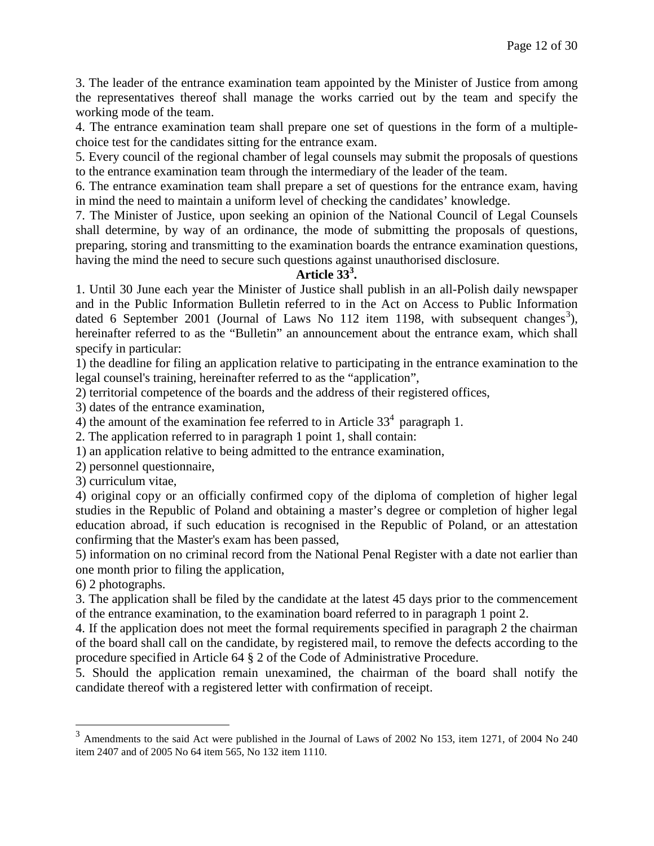3. The leader of the entrance examination team appointed by the Minister of Justice from among the representatives thereof shall manage the works carried out by the team and specify the working mode of the team.

4. The entrance examination team shall prepare one set of questions in the form of a multiplechoice test for the candidates sitting for the entrance exam.

5. Every council of the regional chamber of legal counsels may submit the proposals of questions to the entrance examination team through the intermediary of the leader of the team.

6. The entrance examination team shall prepare a set of questions for the entrance exam, having in mind the need to maintain a uniform level of checking the candidates' knowledge.

7. The Minister of Justice, upon seeking an opinion of the National Council of Legal Counsels shall determine, by way of an ordinance, the mode of submitting the proposals of questions, preparing, storing and transmitting to the examination boards the entrance examination questions, having the mind the need to secure such questions against unauthorised disclosure.

# **Article 33<sup>3</sup> .**

1. Until 30 June each year the Minister of Justice shall publish in an all-Polish daily newspaper and in the Public Information Bulletin referred to in the Act on Access to Public Information dated 6 September 2001 (Journal of Laws No 112 item 1198, with subsequent changes<sup>[3](#page-11-0)</sup>), hereinafter referred to as the "Bulletin" an announcement about the entrance exam, which shall specify in particular:

1) the deadline for filing an application relative to participating in the entrance examination to the legal counsel's training, hereinafter referred to as the "application",

2) territorial competence of the boards and the address of their registered offices,

3) dates of the entrance examination,

4) the amount of the examination fee referred to in Article  $33<sup>4</sup>$  paragraph 1.

2. The application referred to in paragraph 1 point 1, shall contain:

1) an application relative to being admitted to the entrance examination,

2) personnel questionnaire,

3) curriculum vitae,

4) original copy or an officially confirmed copy of the diploma of completion of higher legal studies in the Republic of Poland and obtaining a master's degree or completion of higher legal education abroad, if such education is recognised in the Republic of Poland, or an attestation confirming that the Master's exam has been passed,

5) information on no criminal record from the National Penal Register with a date not earlier than one month prior to filing the application,

6) 2 photographs.

3. The application shall be filed by the candidate at the latest 45 days prior to the commencement of the entrance examination, to the examination board referred to in paragraph 1 point 2.

4. If the application does not meet the formal requirements specified in paragraph 2 the chairman of the board shall call on the candidate, by registered mail, to remove the defects according to the procedure specified in Article 64 § 2 of the Code of Administrative Procedure.

5. Should the application remain unexamined, the chairman of the board shall notify the candidate thereof with a registered letter with confirmation of receipt.

<span id="page-11-0"></span> <sup>3</sup> Amendments to the said Act were published in the Journal of Laws of 2002 No 153, item 1271, of 2004 No 240 item 2407 and of 2005 No 64 item 565, No 132 item 1110.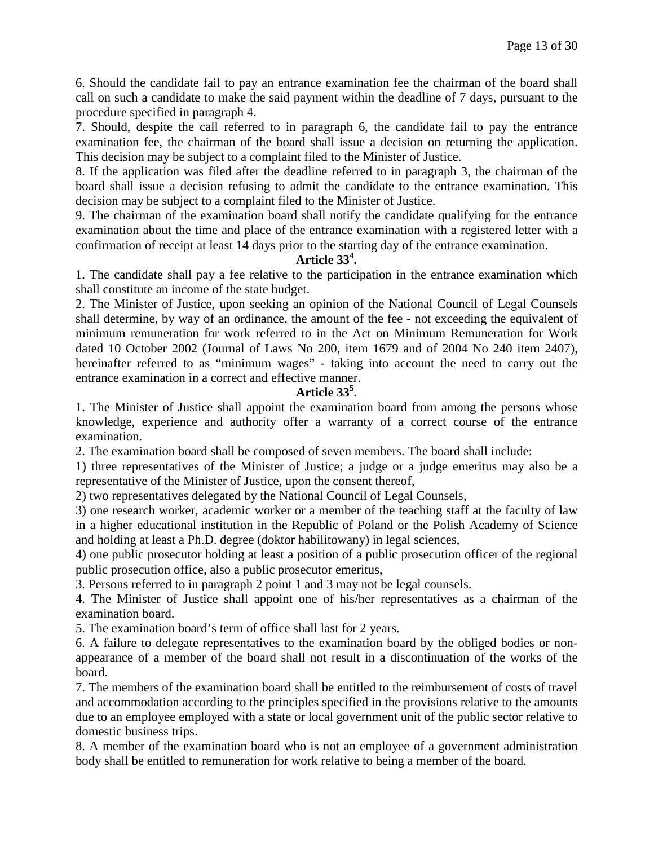6. Should the candidate fail to pay an entrance examination fee the chairman of the board shall call on such a candidate to make the said payment within the deadline of 7 days, pursuant to the procedure specified in paragraph 4.

7. Should, despite the call referred to in paragraph 6, the candidate fail to pay the entrance examination fee, the chairman of the board shall issue a decision on returning the application. This decision may be subject to a complaint filed to the Minister of Justice.

8. If the application was filed after the deadline referred to in paragraph 3, the chairman of the board shall issue a decision refusing to admit the candidate to the entrance examination. This decision may be subject to a complaint filed to the Minister of Justice.

9. The chairman of the examination board shall notify the candidate qualifying for the entrance examination about the time and place of the entrance examination with a registered letter with a confirmation of receipt at least 14 days prior to the starting day of the entrance examination.

# **Article 33<sup>4</sup> .**

1. The candidate shall pay a fee relative to the participation in the entrance examination which shall constitute an income of the state budget.

2. The Minister of Justice, upon seeking an opinion of the National Council of Legal Counsels shall determine, by way of an ordinance, the amount of the fee - not exceeding the equivalent of minimum remuneration for work referred to in the Act on Minimum Remuneration for Work dated 10 October 2002 (Journal of Laws No 200, item 1679 and of 2004 No 240 item 2407), hereinafter referred to as "minimum wages" - taking into account the need to carry out the entrance examination in a correct and effective manner.

# **Article 33<sup>5</sup> .**

1. The Minister of Justice shall appoint the examination board from among the persons whose knowledge, experience and authority offer a warranty of a correct course of the entrance examination.

2. The examination board shall be composed of seven members. The board shall include:

1) three representatives of the Minister of Justice; a judge or a judge emeritus may also be a representative of the Minister of Justice, upon the consent thereof,

2) two representatives delegated by the National Council of Legal Counsels,

3) one research worker, academic worker or a member of the teaching staff at the faculty of law in a higher educational institution in the Republic of Poland or the Polish Academy of Science and holding at least a Ph.D. degree (doktor habilitowany) in legal sciences,

4) one public prosecutor holding at least a position of a public prosecution officer of the regional public prosecution office, also a public prosecutor emeritus,

3. Persons referred to in paragraph 2 point 1 and 3 may not be legal counsels.

4. The Minister of Justice shall appoint one of his/her representatives as a chairman of the examination board.

5. The examination board's term of office shall last for 2 years.

6. A failure to delegate representatives to the examination board by the obliged bodies or nonappearance of a member of the board shall not result in a discontinuation of the works of the board.

7. The members of the examination board shall be entitled to the reimbursement of costs of travel and accommodation according to the principles specified in the provisions relative to the amounts due to an employee employed with a state or local government unit of the public sector relative to domestic business trips.

8. A member of the examination board who is not an employee of a government administration body shall be entitled to remuneration for work relative to being a member of the board.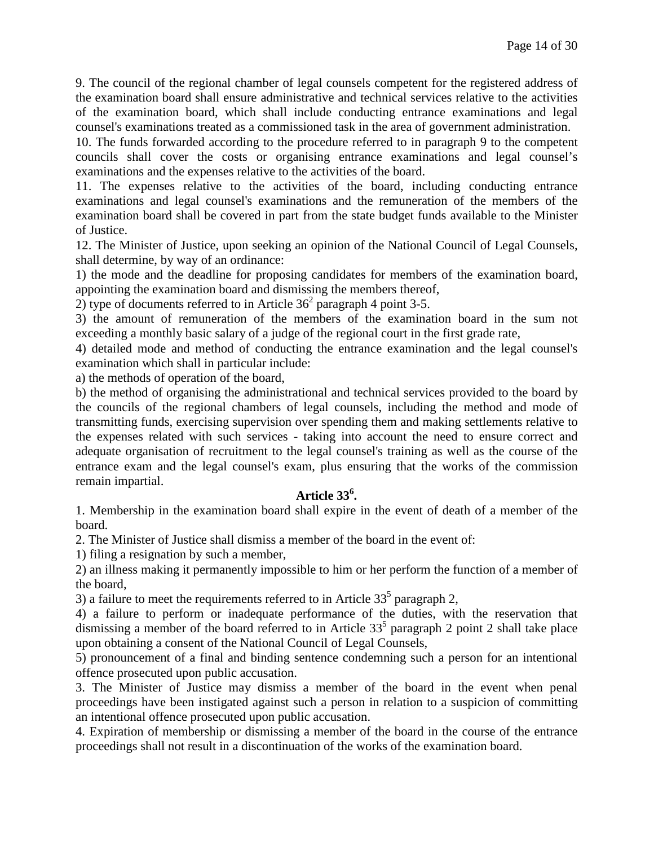9. The council of the regional chamber of legal counsels competent for the registered address of the examination board shall ensure administrative and technical services relative to the activities of the examination board, which shall include conducting entrance examinations and legal counsel's examinations treated as a commissioned task in the area of government administration.

10. The funds forwarded according to the procedure referred to in paragraph 9 to the competent councils shall cover the costs or organising entrance examinations and legal counsel's examinations and the expenses relative to the activities of the board.

11. The expenses relative to the activities of the board, including conducting entrance examinations and legal counsel's examinations and the remuneration of the members of the examination board shall be covered in part from the state budget funds available to the Minister of Justice.

12. The Minister of Justice, upon seeking an opinion of the National Council of Legal Counsels, shall determine, by way of an ordinance:

1) the mode and the deadline for proposing candidates for members of the examination board, appointing the examination board and dismissing the members thereof,

2) type of documents referred to in Article  $36<sup>2</sup>$  paragraph 4 point 3-5.

3) the amount of remuneration of the members of the examination board in the sum not exceeding a monthly basic salary of a judge of the regional court in the first grade rate,

4) detailed mode and method of conducting the entrance examination and the legal counsel's examination which shall in particular include:

a) the methods of operation of the board,

b) the method of organising the administrational and technical services provided to the board by the councils of the regional chambers of legal counsels, including the method and mode of transmitting funds, exercising supervision over spending them and making settlements relative to the expenses related with such services - taking into account the need to ensure correct and adequate organisation of recruitment to the legal counsel's training as well as the course of the entrance exam and the legal counsel's exam, plus ensuring that the works of the commission remain impartial.

# **Article 33<sup>6</sup> .**

1. Membership in the examination board shall expire in the event of death of a member of the board.

2. The Minister of Justice shall dismiss a member of the board in the event of:

1) filing a resignation by such a member,

2) an illness making it permanently impossible to him or her perform the function of a member of the board,

3) a failure to meet the requirements referred to in Article  $33<sup>5</sup>$  paragraph 2,

4) a failure to perform or inadequate performance of the duties, with the reservation that dismissing a member of the board referred to in Article  $33<sup>5</sup>$  paragraph 2 point 2 shall take place upon obtaining a consent of the National Council of Legal Counsels,

5) pronouncement of a final and binding sentence condemning such a person for an intentional offence prosecuted upon public accusation.

3. The Minister of Justice may dismiss a member of the board in the event when penal proceedings have been instigated against such a person in relation to a suspicion of committing an intentional offence prosecuted upon public accusation.

4. Expiration of membership or dismissing a member of the board in the course of the entrance proceedings shall not result in a discontinuation of the works of the examination board.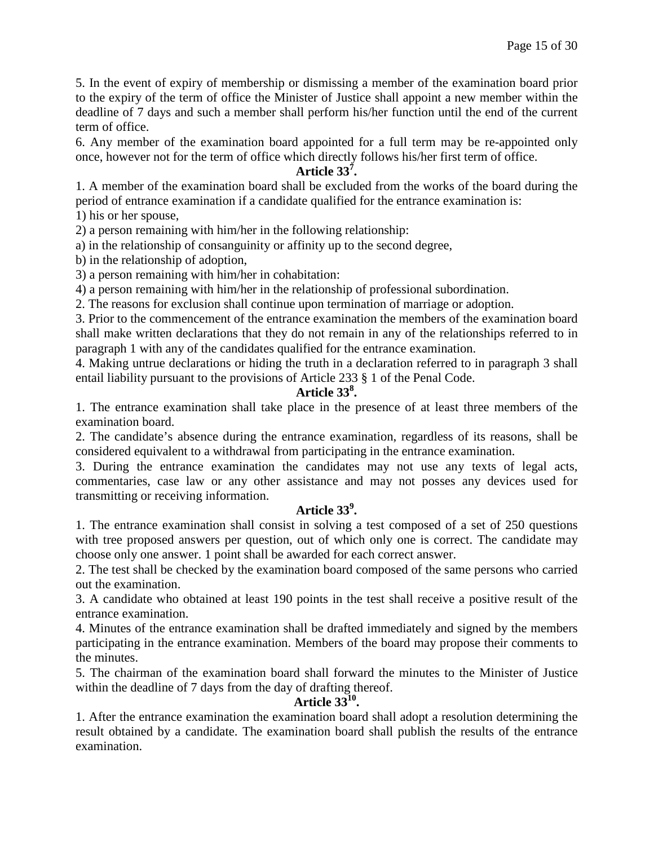5. In the event of expiry of membership or dismissing a member of the examination board prior to the expiry of the term of office the Minister of Justice shall appoint a new member within the deadline of 7 days and such a member shall perform his/her function until the end of the current term of office.

6. Any member of the examination board appointed for a full term may be re-appointed only once, however not for the term of office which directly follows his/her first term of office.

# **Article 33<sup>7</sup> .**

1. A member of the examination board shall be excluded from the works of the board during the period of entrance examination if a candidate qualified for the entrance examination is:

1) his or her spouse,

2) a person remaining with him/her in the following relationship:

a) in the relationship of consanguinity or affinity up to the second degree,

b) in the relationship of adoption,

3) a person remaining with him/her in cohabitation:

4) a person remaining with him/her in the relationship of professional subordination.

2. The reasons for exclusion shall continue upon termination of marriage or adoption.

3. Prior to the commencement of the entrance examination the members of the examination board shall make written declarations that they do not remain in any of the relationships referred to in paragraph 1 with any of the candidates qualified for the entrance examination.

4. Making untrue declarations or hiding the truth in a declaration referred to in paragraph 3 shall entail liability pursuant to the provisions of Article 233 § 1 of the Penal Code.

# **Article 33<sup>8</sup> .**

1. The entrance examination shall take place in the presence of at least three members of the examination board.

2. The candidate's absence during the entrance examination, regardless of its reasons, shall be considered equivalent to a withdrawal from participating in the entrance examination.

3. During the entrance examination the candidates may not use any texts of legal acts, commentaries, case law or any other assistance and may not posses any devices used for transmitting or receiving information.

# **Article 33<sup>9</sup> .**

1. The entrance examination shall consist in solving a test composed of a set of 250 questions with tree proposed answers per question, out of which only one is correct. The candidate may choose only one answer. 1 point shall be awarded for each correct answer.

2. The test shall be checked by the examination board composed of the same persons who carried out the examination.

3. A candidate who obtained at least 190 points in the test shall receive a positive result of the entrance examination.

4. Minutes of the entrance examination shall be drafted immediately and signed by the members participating in the entrance examination. Members of the board may propose their comments to the minutes.

5. The chairman of the examination board shall forward the minutes to the Minister of Justice within the deadline of 7 days from the day of drafting thereof.

### **Article 3310.**

1. After the entrance examination the examination board shall adopt a resolution determining the result obtained by a candidate. The examination board shall publish the results of the entrance examination.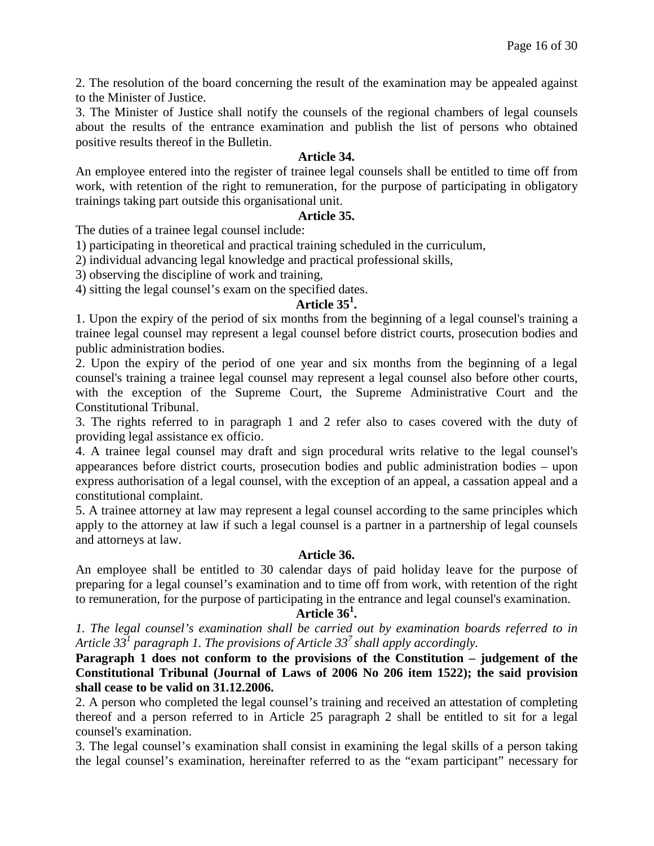2. The resolution of the board concerning the result of the examination may be appealed against to the Minister of Justice.

3. The Minister of Justice shall notify the counsels of the regional chambers of legal counsels about the results of the entrance examination and publish the list of persons who obtained positive results thereof in the Bulletin.

### **Article 34.**

An employee entered into the register of trainee legal counsels shall be entitled to time off from work, with retention of the right to remuneration, for the purpose of participating in obligatory trainings taking part outside this organisational unit.

#### **Article 35.**

The duties of a trainee legal counsel include:

1) participating in theoretical and practical training scheduled in the curriculum,

2) individual advancing legal knowledge and practical professional skills,

3) observing the discipline of work and training,

4) sitting the legal counsel's exam on the specified dates.

# **Article 35<sup>1</sup> .**

1. Upon the expiry of the period of six months from the beginning of a legal counsel's training a trainee legal counsel may represent a legal counsel before district courts, prosecution bodies and public administration bodies.

2. Upon the expiry of the period of one year and six months from the beginning of a legal counsel's training a trainee legal counsel may represent a legal counsel also before other courts, with the exception of the Supreme Court, the Supreme Administrative Court and the Constitutional Tribunal.

3. The rights referred to in paragraph 1 and 2 refer also to cases covered with the duty of providing legal assistance ex officio.

4. A trainee legal counsel may draft and sign procedural writs relative to the legal counsel's appearances before district courts, prosecution bodies and public administration bodies – upon express authorisation of a legal counsel, with the exception of an appeal, a cassation appeal and a constitutional complaint.

5. A trainee attorney at law may represent a legal counsel according to the same principles which apply to the attorney at law if such a legal counsel is a partner in a partnership of legal counsels and attorneys at law.

### **Article 36.**

An employee shall be entitled to 30 calendar days of paid holiday leave for the purpose of preparing for a legal counsel's examination and to time off from work, with retention of the right to remuneration, for the purpose of participating in the entrance and legal counsel's examination.

# **Article 36<sup>1</sup> .**

*1. The legal counsel's examination shall be carried out by examination boards referred to in Article 331 paragraph 1. The provisions of Article 33<sup>7</sup> shall apply accordingly.*

**Paragraph 1 does not conform to the provisions of the Constitution – judgement of the Constitutional Tribunal (Journal of Laws of 2006 No 206 item 1522); the said provision shall cease to be valid on 31.12.2006.**

2. A person who completed the legal counsel's training and received an attestation of completing thereof and a person referred to in Article 25 paragraph 2 shall be entitled to sit for a legal counsel's examination.

3. The legal counsel's examination shall consist in examining the legal skills of a person taking the legal counsel's examination, hereinafter referred to as the "exam participant" necessary for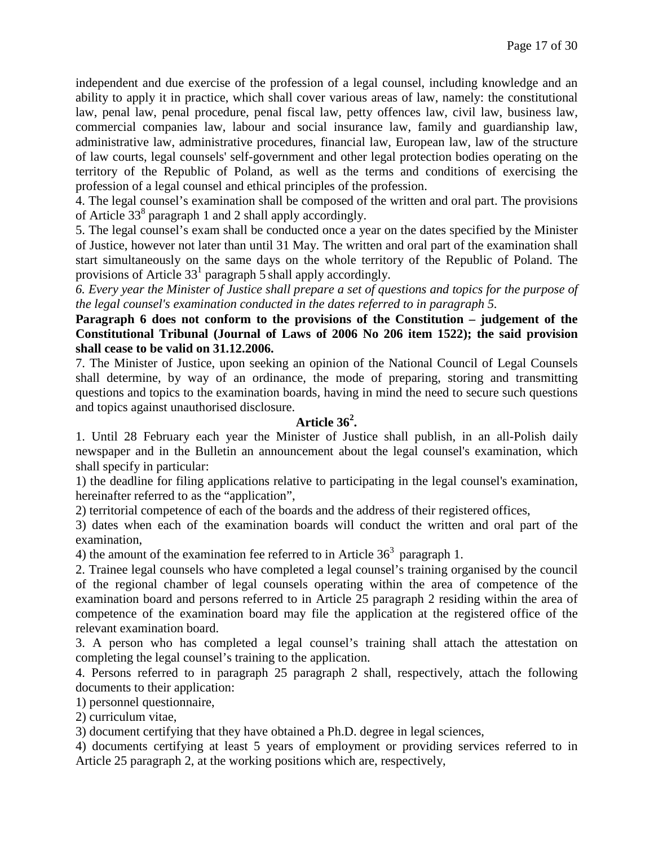independent and due exercise of the profession of a legal counsel, including knowledge and an ability to apply it in practice, which shall cover various areas of law, namely: the constitutional law, penal law, penal procedure, penal fiscal law, petty offences law, civil law, business law, commercial companies law, labour and social insurance law, family and guardianship law, administrative law, administrative procedures, financial law, European law, law of the structure of law courts, legal counsels' self-government and other legal protection bodies operating on the territory of the Republic of Poland, as well as the terms and conditions of exercising the profession of a legal counsel and ethical principles of the profession.

4. The legal counsel's examination shall be composed of the written and oral part. The provisions of Article  $33<sup>8</sup>$  paragraph 1 and 2 shall apply accordingly.

5. The legal counsel's exam shall be conducted once a year on the dates specified by the Minister of Justice, however not later than until 31 May. The written and oral part of the examination shall start simultaneously on the same days on the whole territory of the Republic of Poland. The provisions of Article  $33<sup>1</sup>$  paragraph 5 shall apply accordingly.

*6. Every year the Minister of Justice shall prepare a set of questions and topics for the purpose of the legal counsel's examination conducted in the dates referred to in paragraph 5.*

### **Paragraph 6 does not conform to the provisions of the Constitution – judgement of the Constitutional Tribunal (Journal of Laws of 2006 No 206 item 1522); the said provision shall cease to be valid on 31.12.2006.**

7. The Minister of Justice, upon seeking an opinion of the National Council of Legal Counsels shall determine, by way of an ordinance, the mode of preparing, storing and transmitting questions and topics to the examination boards, having in mind the need to secure such questions and topics against unauthorised disclosure.

# **Article 36<sup>2</sup> .**

1. Until 28 February each year the Minister of Justice shall publish, in an all-Polish daily newspaper and in the Bulletin an announcement about the legal counsel's examination, which shall specify in particular:

1) the deadline for filing applications relative to participating in the legal counsel's examination, hereinafter referred to as the "application",

2) territorial competence of each of the boards and the address of their registered offices,

3) dates when each of the examination boards will conduct the written and oral part of the examination,

4) the amount of the examination fee referred to in Article  $36<sup>3</sup>$  paragraph 1.

2. Trainee legal counsels who have completed a legal counsel's training organised by the council of the regional chamber of legal counsels operating within the area of competence of the examination board and persons referred to in Article 25 paragraph 2 residing within the area of competence of the examination board may file the application at the registered office of the relevant examination board.

3. A person who has completed a legal counsel's training shall attach the attestation on completing the legal counsel's training to the application.

4. Persons referred to in paragraph 25 paragraph 2 shall, respectively, attach the following documents to their application:

1) personnel questionnaire,

2) curriculum vitae,

3) document certifying that they have obtained a Ph.D. degree in legal sciences,

4) documents certifying at least 5 years of employment or providing services referred to in Article 25 paragraph 2, at the working positions which are, respectively,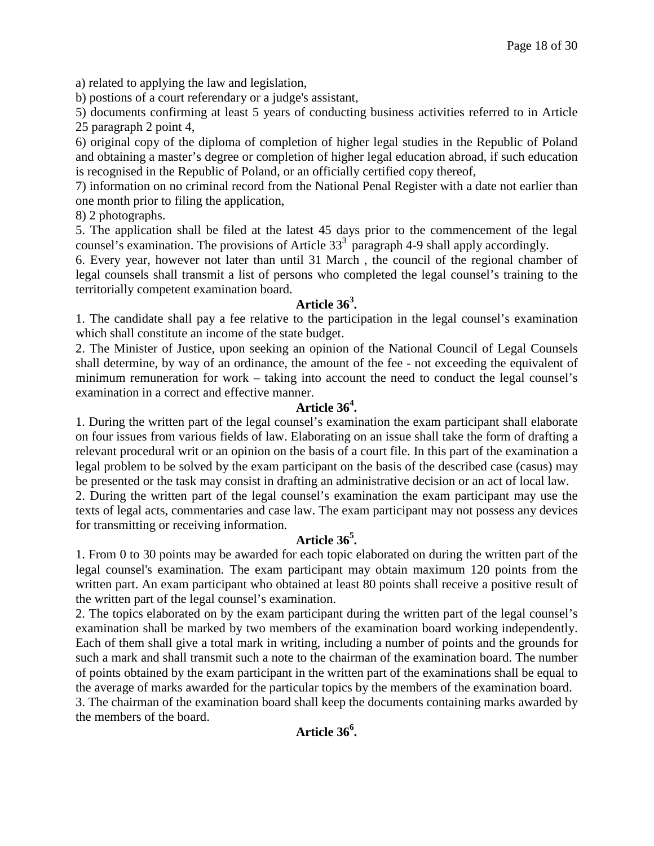a) related to applying the law and legislation,

b) postions of a court referendary or a judge's assistant,

5) documents confirming at least 5 years of conducting business activities referred to in Article 25 paragraph 2 point 4,

6) original copy of the diploma of completion of higher legal studies in the Republic of Poland and obtaining a master's degree or completion of higher legal education abroad, if such education is recognised in the Republic of Poland, or an officially certified copy thereof,

7) information on no criminal record from the National Penal Register with a date not earlier than one month prior to filing the application,

8) 2 photographs.

5. The application shall be filed at the latest 45 days prior to the commencement of the legal counsel's examination. The provisions of Article  $33<sup>3</sup>$  paragraph 4-9 shall apply accordingly.

6. Every year, however not later than until 31 March , the council of the regional chamber of legal counsels shall transmit a list of persons who completed the legal counsel's training to the territorially competent examination board.

# **Article 36<sup>3</sup> .**

1. The candidate shall pay a fee relative to the participation in the legal counsel's examination which shall constitute an income of the state budget.

2. The Minister of Justice, upon seeking an opinion of the National Council of Legal Counsels shall determine, by way of an ordinance, the amount of the fee - not exceeding the equivalent of minimum remuneration for work – taking into account the need to conduct the legal counsel's examination in a correct and effective manner.

# **Article 36<sup>4</sup> .**

1. During the written part of the legal counsel's examination the exam participant shall elaborate on four issues from various fields of law. Elaborating on an issue shall take the form of drafting a relevant procedural writ or an opinion on the basis of a court file. In this part of the examination a legal problem to be solved by the exam participant on the basis of the described case (casus) may be presented or the task may consist in drafting an administrative decision or an act of local law.

2. During the written part of the legal counsel's examination the exam participant may use the texts of legal acts, commentaries and case law. The exam participant may not possess any devices for transmitting or receiving information.

# **Article 36<sup>5</sup> .**

1. From 0 to 30 points may be awarded for each topic elaborated on during the written part of the legal counsel's examination. The exam participant may obtain maximum 120 points from the written part. An exam participant who obtained at least 80 points shall receive a positive result of the written part of the legal counsel's examination.

2. The topics elaborated on by the exam participant during the written part of the legal counsel's examination shall be marked by two members of the examination board working independently. Each of them shall give a total mark in writing, including a number of points and the grounds for such a mark and shall transmit such a note to the chairman of the examination board. The number of points obtained by the exam participant in the written part of the examinations shall be equal to the average of marks awarded for the particular topics by the members of the examination board.

3. The chairman of the examination board shall keep the documents containing marks awarded by the members of the board.

# **Article 36<sup>6</sup> .**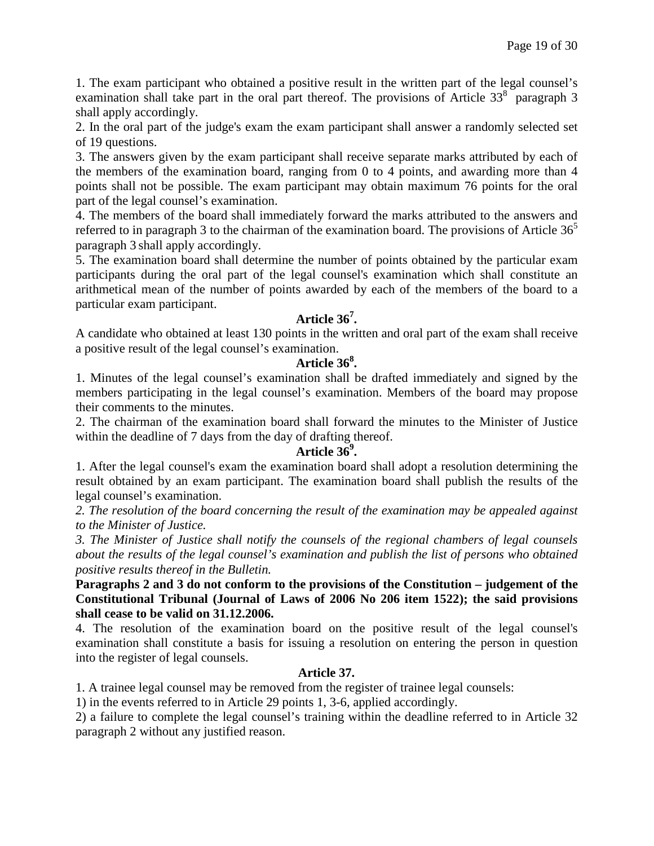1. The exam participant who obtained a positive result in the written part of the legal counsel's examination shall take part in the oral part thereof. The provisions of Article  $33<sup>8</sup>$  paragraph 3 shall apply accordingly.

2. In the oral part of the judge's exam the exam participant shall answer a randomly selected set of 19 questions.

3. The answers given by the exam participant shall receive separate marks attributed by each of the members of the examination board, ranging from 0 to 4 points, and awarding more than 4 points shall not be possible. The exam participant may obtain maximum 76 points for the oral part of the legal counsel's examination.

4. The members of the board shall immediately forward the marks attributed to the answers and referred to in paragraph 3 to the chairman of the examination board. The provisions of Article  $36<sup>5</sup>$ paragraph 3 shall apply accordingly.

5. The examination board shall determine the number of points obtained by the particular exam participants during the oral part of the legal counsel's examination which shall constitute an arithmetical mean of the number of points awarded by each of the members of the board to a particular exam participant.

# **Article 36<sup>7</sup> .**

A candidate who obtained at least 130 points in the written and oral part of the exam shall receive a positive result of the legal counsel's examination.

# **Article 36<sup>8</sup> .**

1. Minutes of the legal counsel's examination shall be drafted immediately and signed by the members participating in the legal counsel's examination. Members of the board may propose their comments to the minutes.

2. The chairman of the examination board shall forward the minutes to the Minister of Justice within the deadline of 7 days from the day of drafting thereof.

# **Article 36<sup>9</sup> .**

1. After the legal counsel's exam the examination board shall adopt a resolution determining the result obtained by an exam participant. The examination board shall publish the results of the legal counsel's examination.

*2. The resolution of the board concerning the result of the examination may be appealed against to the Minister of Justice.*

*3. The Minister of Justice shall notify the counsels of the regional chambers of legal counsels about the results of the legal counsel's examination and publish the list of persons who obtained positive results thereof in the Bulletin.*

**Paragraphs 2 and 3 do not conform to the provisions of the Constitution – judgement of the Constitutional Tribunal (Journal of Laws of 2006 No 206 item 1522); the said provisions shall cease to be valid on 31.12.2006.**

4. The resolution of the examination board on the positive result of the legal counsel's examination shall constitute a basis for issuing a resolution on entering the person in question into the register of legal counsels.

### **Article 37.**

1. A trainee legal counsel may be removed from the register of trainee legal counsels:

1) in the events referred to in Article 29 points 1, 3-6, applied accordingly.

2) a failure to complete the legal counsel's training within the deadline referred to in Article 32 paragraph 2 without any justified reason.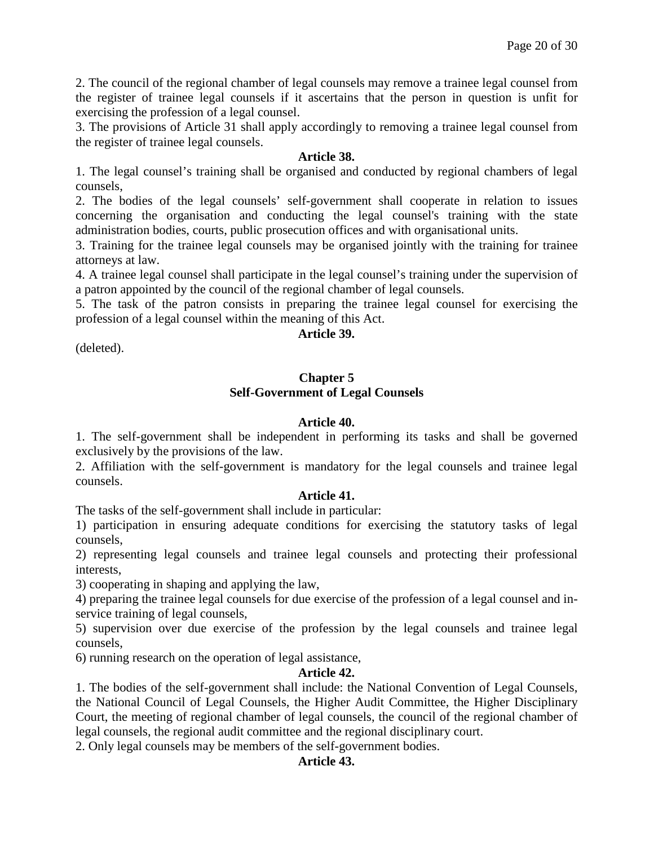2. The council of the regional chamber of legal counsels may remove a trainee legal counsel from the register of trainee legal counsels if it ascertains that the person in question is unfit for exercising the profession of a legal counsel.

3. The provisions of Article 31 shall apply accordingly to removing a trainee legal counsel from the register of trainee legal counsels.

### **Article 38.**

1. The legal counsel's training shall be organised and conducted by regional chambers of legal counsels,

2. The bodies of the legal counsels' self-government shall cooperate in relation to issues concerning the organisation and conducting the legal counsel's training with the state administration bodies, courts, public prosecution offices and with organisational units.

3. Training for the trainee legal counsels may be organised jointly with the training for trainee attorneys at law.

4. A trainee legal counsel shall participate in the legal counsel's training under the supervision of a patron appointed by the council of the regional chamber of legal counsels.

5. The task of the patron consists in preparing the trainee legal counsel for exercising the profession of a legal counsel within the meaning of this Act.

### **Article 39.**

(deleted).

#### **Chapter 5 Self-Government of Legal Counsels**

### **Article 40.**

1. The self-government shall be independent in performing its tasks and shall be governed exclusively by the provisions of the law.

2. Affiliation with the self-government is mandatory for the legal counsels and trainee legal counsels.

### **Article 41.**

The tasks of the self-government shall include in particular:

1) participation in ensuring adequate conditions for exercising the statutory tasks of legal counsels,

2) representing legal counsels and trainee legal counsels and protecting their professional interests,

3) cooperating in shaping and applying the law,

4) preparing the trainee legal counsels for due exercise of the profession of a legal counsel and inservice training of legal counsels,

5) supervision over due exercise of the profession by the legal counsels and trainee legal counsels,

6) running research on the operation of legal assistance,

### **Article 42.**

1. The bodies of the self-government shall include: the National Convention of Legal Counsels, the National Council of Legal Counsels, the Higher Audit Committee, the Higher Disciplinary Court, the meeting of regional chamber of legal counsels, the council of the regional chamber of legal counsels, the regional audit committee and the regional disciplinary court.

2. Only legal counsels may be members of the self-government bodies.

### **Article 43.**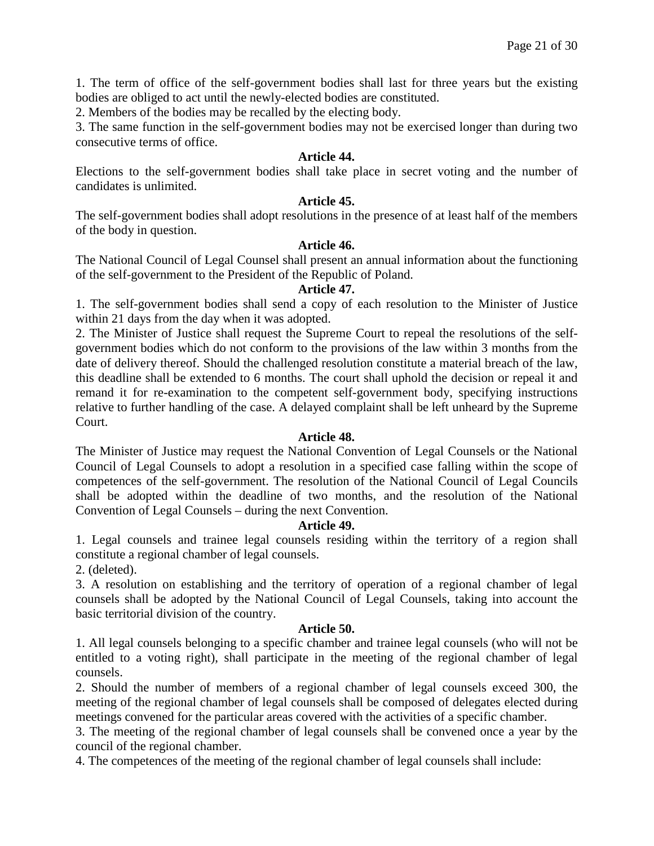1. The term of office of the self-government bodies shall last for three years but the existing bodies are obliged to act until the newly-elected bodies are constituted.

2. Members of the bodies may be recalled by the electing body.

3. The same function in the self-government bodies may not be exercised longer than during two consecutive terms of office.

### **Article 44.**

Elections to the self-government bodies shall take place in secret voting and the number of candidates is unlimited.

### **Article 45.**

The self-government bodies shall adopt resolutions in the presence of at least half of the members of the body in question.

### **Article 46.**

The National Council of Legal Counsel shall present an annual information about the functioning of the self-government to the President of the Republic of Poland.

### **Article 47.**

1. The self-government bodies shall send a copy of each resolution to the Minister of Justice within 21 days from the day when it was adopted.

2. The Minister of Justice shall request the Supreme Court to repeal the resolutions of the selfgovernment bodies which do not conform to the provisions of the law within 3 months from the date of delivery thereof. Should the challenged resolution constitute a material breach of the law, this deadline shall be extended to 6 months. The court shall uphold the decision or repeal it and remand it for re-examination to the competent self-government body, specifying instructions relative to further handling of the case. A delayed complaint shall be left unheard by the Supreme Court.

### **Article 48.**

The Minister of Justice may request the National Convention of Legal Counsels or the National Council of Legal Counsels to adopt a resolution in a specified case falling within the scope of competences of the self-government. The resolution of the National Council of Legal Councils shall be adopted within the deadline of two months, and the resolution of the National Convention of Legal Counsels – during the next Convention.

### **Article 49.**

1. Legal counsels and trainee legal counsels residing within the territory of a region shall constitute a regional chamber of legal counsels.

2. (deleted).

3. A resolution on establishing and the territory of operation of a regional chamber of legal counsels shall be adopted by the National Council of Legal Counsels, taking into account the basic territorial division of the country.

### **Article 50.**

1. All legal counsels belonging to a specific chamber and trainee legal counsels (who will not be entitled to a voting right), shall participate in the meeting of the regional chamber of legal counsels.

2. Should the number of members of a regional chamber of legal counsels exceed 300, the meeting of the regional chamber of legal counsels shall be composed of delegates elected during meetings convened for the particular areas covered with the activities of a specific chamber.

3. The meeting of the regional chamber of legal counsels shall be convened once a year by the council of the regional chamber.

4. The competences of the meeting of the regional chamber of legal counsels shall include: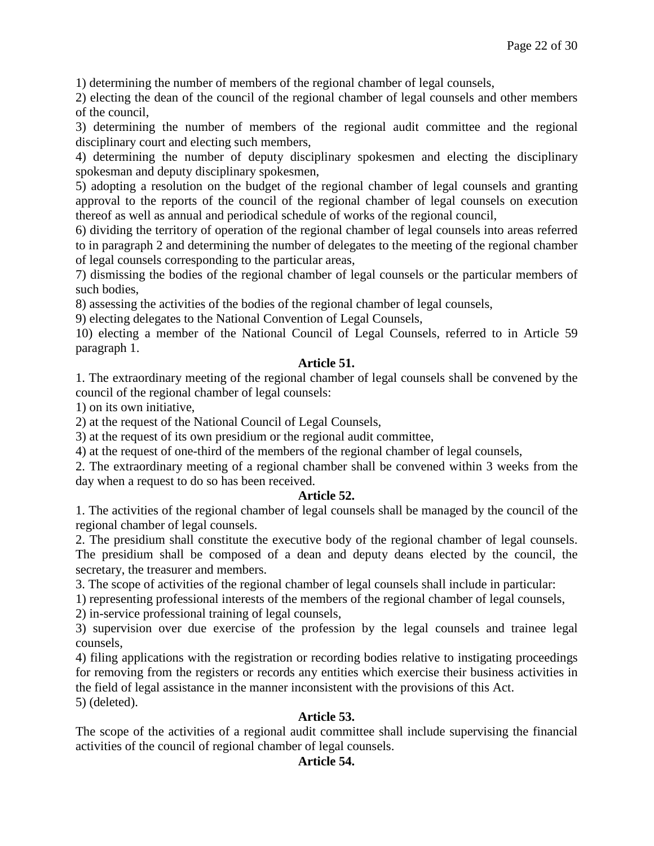1) determining the number of members of the regional chamber of legal counsels,

2) electing the dean of the council of the regional chamber of legal counsels and other members of the council,

3) determining the number of members of the regional audit committee and the regional disciplinary court and electing such members,

4) determining the number of deputy disciplinary spokesmen and electing the disciplinary spokesman and deputy disciplinary spokesmen,

5) adopting a resolution on the budget of the regional chamber of legal counsels and granting approval to the reports of the council of the regional chamber of legal counsels on execution thereof as well as annual and periodical schedule of works of the regional council,

6) dividing the territory of operation of the regional chamber of legal counsels into areas referred to in paragraph 2 and determining the number of delegates to the meeting of the regional chamber of legal counsels corresponding to the particular areas,

7) dismissing the bodies of the regional chamber of legal counsels or the particular members of such bodies,

8) assessing the activities of the bodies of the regional chamber of legal counsels,

9) electing delegates to the National Convention of Legal Counsels,

10) electing a member of the National Council of Legal Counsels, referred to in Article 59 paragraph 1.

### **Article 51.**

1. The extraordinary meeting of the regional chamber of legal counsels shall be convened by the council of the regional chamber of legal counsels:

1) on its own initiative,

2) at the request of the National Council of Legal Counsels,

3) at the request of its own presidium or the regional audit committee,

4) at the request of one-third of the members of the regional chamber of legal counsels,

2. The extraordinary meeting of a regional chamber shall be convened within 3 weeks from the day when a request to do so has been received.

### **Article 52.**

1. The activities of the regional chamber of legal counsels shall be managed by the council of the regional chamber of legal counsels.

2. The presidium shall constitute the executive body of the regional chamber of legal counsels. The presidium shall be composed of a dean and deputy deans elected by the council, the secretary, the treasurer and members.

3. The scope of activities of the regional chamber of legal counsels shall include in particular:

1) representing professional interests of the members of the regional chamber of legal counsels,

2) in-service professional training of legal counsels,

3) supervision over due exercise of the profession by the legal counsels and trainee legal counsels,

4) filing applications with the registration or recording bodies relative to instigating proceedings for removing from the registers or records any entities which exercise their business activities in the field of legal assistance in the manner inconsistent with the provisions of this Act. 5) (deleted).

### **Article 53.**

The scope of the activities of a regional audit committee shall include supervising the financial activities of the council of regional chamber of legal counsels.

### **Article 54.**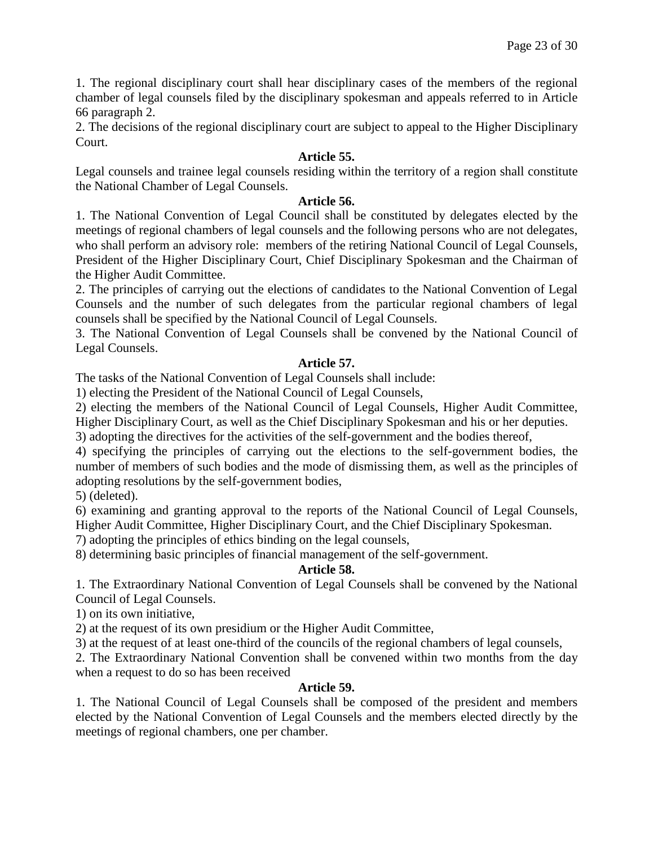1. The regional disciplinary court shall hear disciplinary cases of the members of the regional chamber of legal counsels filed by the disciplinary spokesman and appeals referred to in Article 66 paragraph 2.

2. The decisions of the regional disciplinary court are subject to appeal to the Higher Disciplinary Court.

### **Article 55.**

Legal counsels and trainee legal counsels residing within the territory of a region shall constitute the National Chamber of Legal Counsels.

### **Article 56.**

1. The National Convention of Legal Council shall be constituted by delegates elected by the meetings of regional chambers of legal counsels and the following persons who are not delegates, who shall perform an advisory role: members of the retiring National Council of Legal Counsels, President of the Higher Disciplinary Court, Chief Disciplinary Spokesman and the Chairman of the Higher Audit Committee.

2. The principles of carrying out the elections of candidates to the National Convention of Legal Counsels and the number of such delegates from the particular regional chambers of legal counsels shall be specified by the National Council of Legal Counsels.

3. The National Convention of Legal Counsels shall be convened by the National Council of Legal Counsels.

### **Article 57.**

The tasks of the National Convention of Legal Counsels shall include:

1) electing the President of the National Council of Legal Counsels,

2) electing the members of the National Council of Legal Counsels, Higher Audit Committee,

Higher Disciplinary Court, as well as the Chief Disciplinary Spokesman and his or her deputies.

3) adopting the directives for the activities of the self-government and the bodies thereof,

4) specifying the principles of carrying out the elections to the self-government bodies, the number of members of such bodies and the mode of dismissing them, as well as the principles of adopting resolutions by the self-government bodies,

5) (deleted).

6) examining and granting approval to the reports of the National Council of Legal Counsels, Higher Audit Committee, Higher Disciplinary Court, and the Chief Disciplinary Spokesman.

7) adopting the principles of ethics binding on the legal counsels,

8) determining basic principles of financial management of the self-government.

### **Article 58.**

1. The Extraordinary National Convention of Legal Counsels shall be convened by the National Council of Legal Counsels.

1) on its own initiative,

2) at the request of its own presidium or the Higher Audit Committee,

3) at the request of at least one-third of the councils of the regional chambers of legal counsels,

2. The Extraordinary National Convention shall be convened within two months from the day when a request to do so has been received

### **Article 59.**

1. The National Council of Legal Counsels shall be composed of the president and members elected by the National Convention of Legal Counsels and the members elected directly by the meetings of regional chambers, one per chamber.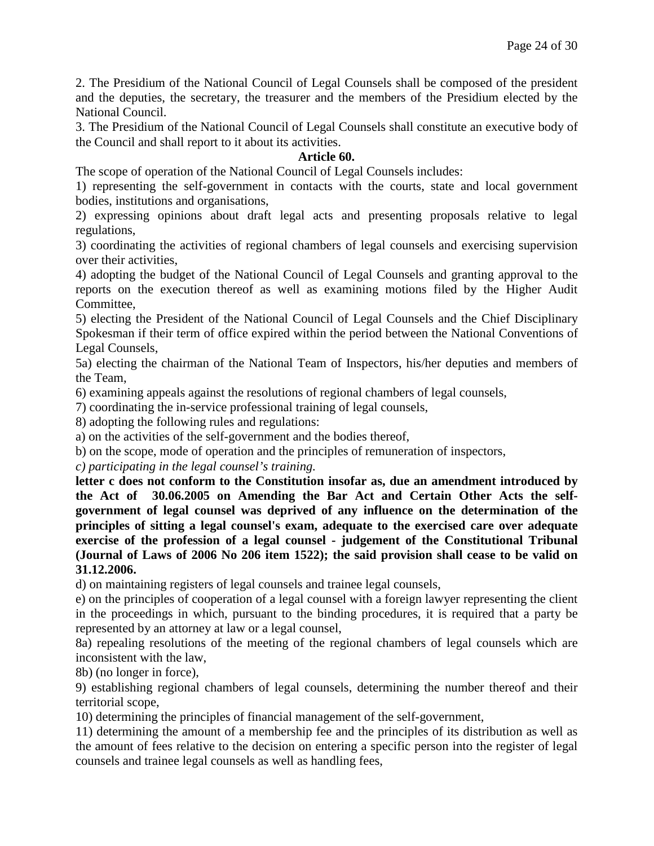2. The Presidium of the National Council of Legal Counsels shall be composed of the president and the deputies, the secretary, the treasurer and the members of the Presidium elected by the National Council.

3. The Presidium of the National Council of Legal Counsels shall constitute an executive body of the Council and shall report to it about its activities.

### **Article 60.**

The scope of operation of the National Council of Legal Counsels includes:

1) representing the self-government in contacts with the courts, state and local government bodies, institutions and organisations,

2) expressing opinions about draft legal acts and presenting proposals relative to legal regulations,

3) coordinating the activities of regional chambers of legal counsels and exercising supervision over their activities,

4) adopting the budget of the National Council of Legal Counsels and granting approval to the reports on the execution thereof as well as examining motions filed by the Higher Audit Committee,

5) electing the President of the National Council of Legal Counsels and the Chief Disciplinary Spokesman if their term of office expired within the period between the National Conventions of Legal Counsels,

5a) electing the chairman of the National Team of Inspectors, his/her deputies and members of the Team,

6) examining appeals against the resolutions of regional chambers of legal counsels,

7) coordinating the in-service professional training of legal counsels,

8) adopting the following rules and regulations:

a) on the activities of the self-government and the bodies thereof,

b) on the scope, mode of operation and the principles of remuneration of inspectors,

*c) participating in the legal counsel's training.*

**letter c does not conform to the Constitution insofar as, due an amendment introduced by the Act of 30.06.2005 on Amending the Bar Act and Certain Other Acts the selfgovernment of legal counsel was deprived of any influence on the determination of the principles of sitting a legal counsel's exam, adequate to the exercised care over adequate exercise of the profession of a legal counsel - judgement of the Constitutional Tribunal (Journal of Laws of 2006 No 206 item 1522); the said provision shall cease to be valid on 31.12.2006.**

d) on maintaining registers of legal counsels and trainee legal counsels,

e) on the principles of cooperation of a legal counsel with a foreign lawyer representing the client in the proceedings in which, pursuant to the binding procedures, it is required that a party be represented by an attorney at law or a legal counsel,

8a) repealing resolutions of the meeting of the regional chambers of legal counsels which are inconsistent with the law,

8b) (no longer in force),

9) establishing regional chambers of legal counsels, determining the number thereof and their territorial scope,

10) determining the principles of financial management of the self-government,

11) determining the amount of a membership fee and the principles of its distribution as well as the amount of fees relative to the decision on entering a specific person into the register of legal counsels and trainee legal counsels as well as handling fees,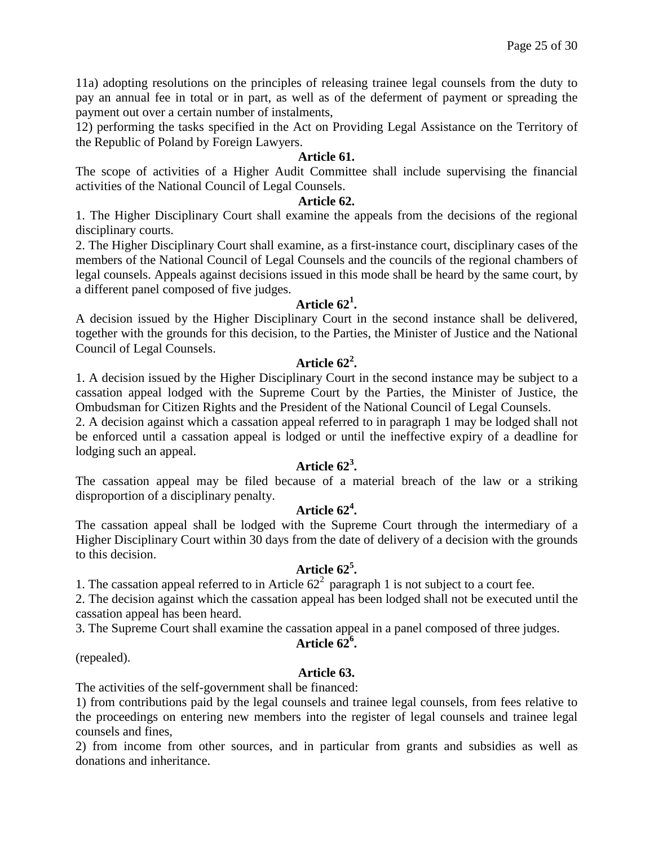11a) adopting resolutions on the principles of releasing trainee legal counsels from the duty to pay an annual fee in total or in part, as well as of the deferment of payment or spreading the payment out over a certain number of instalments,

12) performing the tasks specified in the Act on Providing Legal Assistance on the Territory of the Republic of Poland by Foreign Lawyers.

### **Article 61.**

The scope of activities of a Higher Audit Committee shall include supervising the financial activities of the National Council of Legal Counsels.

### **Article 62.**

1. The Higher Disciplinary Court shall examine the appeals from the decisions of the regional disciplinary courts.

2. The Higher Disciplinary Court shall examine, as a first-instance court, disciplinary cases of the members of the National Council of Legal Counsels and the councils of the regional chambers of legal counsels. Appeals against decisions issued in this mode shall be heard by the same court, by a different panel composed of five judges.

# **Article 62<sup>1</sup> .**

A decision issued by the Higher Disciplinary Court in the second instance shall be delivered, together with the grounds for this decision, to the Parties, the Minister of Justice and the National Council of Legal Counsels.

# **Article 62<sup>2</sup> .**

1. A decision issued by the Higher Disciplinary Court in the second instance may be subject to a cassation appeal lodged with the Supreme Court by the Parties, the Minister of Justice, the Ombudsman for Citizen Rights and the President of the National Council of Legal Counsels.

2. A decision against which a cassation appeal referred to in paragraph 1 may be lodged shall not be enforced until a cassation appeal is lodged or until the ineffective expiry of a deadline for lodging such an appeal.

# **Article 62<sup>3</sup> .**

The cassation appeal may be filed because of a material breach of the law or a striking disproportion of a disciplinary penalty.

# **Article 62<sup>4</sup> .**

The cassation appeal shall be lodged with the Supreme Court through the intermediary of a Higher Disciplinary Court within 30 days from the date of delivery of a decision with the grounds to this decision.

# **Article 62<sup>5</sup> .**

1. The cassation appeal referred to in Article  $62<sup>2</sup>$  paragraph 1 is not subject to a court fee.

2. The decision against which the cassation appeal has been lodged shall not be executed until the cassation appeal has been heard.

3. The Supreme Court shall examine the cassation appeal in a panel composed of three judges.

# **Article 626 .**

(repealed).

### **Article 63.**

The activities of the self-government shall be financed:

1) from contributions paid by the legal counsels and trainee legal counsels, from fees relative to the proceedings on entering new members into the register of legal counsels and trainee legal counsels and fines,

2) from income from other sources, and in particular from grants and subsidies as well as donations and inheritance.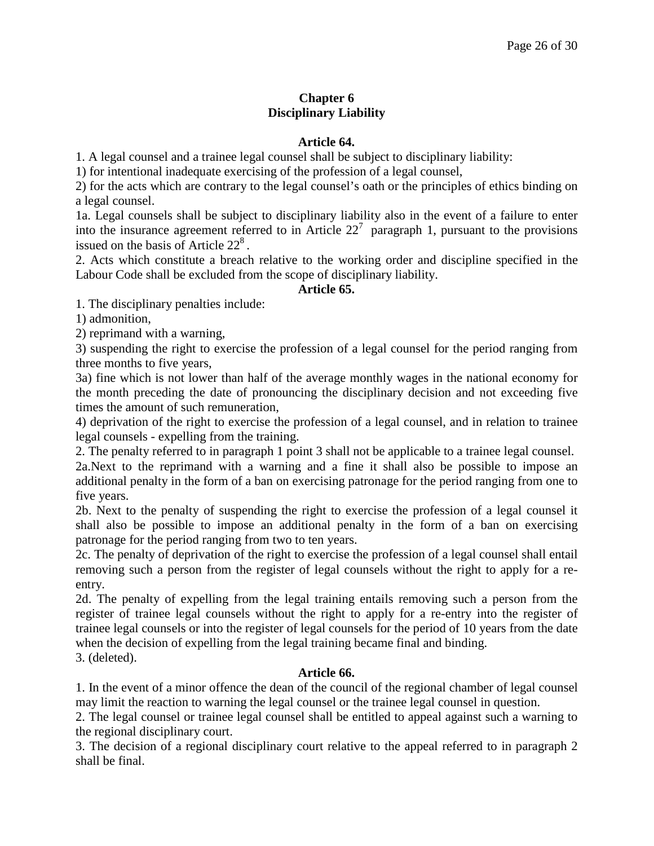# **Chapter 6 Disciplinary Liability**

### **Article 64.**

1. A legal counsel and a trainee legal counsel shall be subject to disciplinary liability:

1) for intentional inadequate exercising of the profession of a legal counsel,

2) for the acts which are contrary to the legal counsel's oath or the principles of ethics binding on a legal counsel.

1a. Legal counsels shall be subject to disciplinary liability also in the event of a failure to enter into the insurance agreement referred to in Article  $22<sup>7</sup>$  paragraph 1, pursuant to the provisions issued on the basis of Article  $22<sup>8</sup>$ .

2. Acts which constitute a breach relative to the working order and discipline specified in the Labour Code shall be excluded from the scope of disciplinary liability.

### **Article 65.**

1. The disciplinary penalties include:

1) admonition,

2) reprimand with a warning,

3) suspending the right to exercise the profession of a legal counsel for the period ranging from three months to five years,

3a) fine which is not lower than half of the average monthly wages in the national economy for the month preceding the date of pronouncing the disciplinary decision and not exceeding five times the amount of such remuneration,

4) deprivation of the right to exercise the profession of a legal counsel, and in relation to trainee legal counsels - expelling from the training.

2. The penalty referred to in paragraph 1 point 3 shall not be applicable to a trainee legal counsel.

2a.Next to the reprimand with a warning and a fine it shall also be possible to impose an additional penalty in the form of a ban on exercising patronage for the period ranging from one to five years.

2b. Next to the penalty of suspending the right to exercise the profession of a legal counsel it shall also be possible to impose an additional penalty in the form of a ban on exercising patronage for the period ranging from two to ten years.

2c. The penalty of deprivation of the right to exercise the profession of a legal counsel shall entail removing such a person from the register of legal counsels without the right to apply for a reentry.

2d. The penalty of expelling from the legal training entails removing such a person from the register of trainee legal counsels without the right to apply for a re-entry into the register of trainee legal counsels or into the register of legal counsels for the period of 10 years from the date when the decision of expelling from the legal training became final and binding.

3. (deleted).

### **Article 66.**

1. In the event of a minor offence the dean of the council of the regional chamber of legal counsel may limit the reaction to warning the legal counsel or the trainee legal counsel in question.

2. The legal counsel or trainee legal counsel shall be entitled to appeal against such a warning to the regional disciplinary court.

3. The decision of a regional disciplinary court relative to the appeal referred to in paragraph 2 shall be final.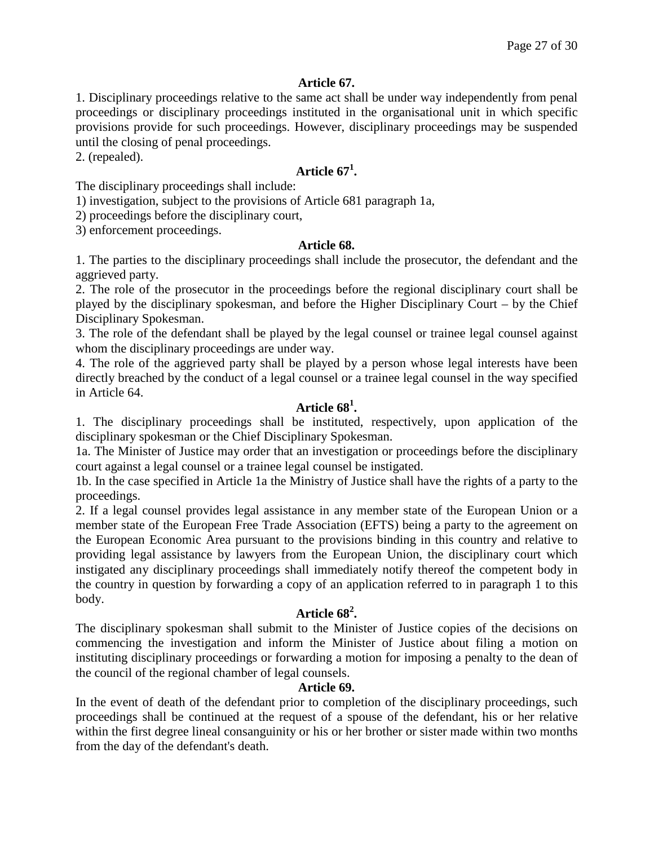### **Article 67.**

1. Disciplinary proceedings relative to the same act shall be under way independently from penal proceedings or disciplinary proceedings instituted in the organisational unit in which specific provisions provide for such proceedings. However, disciplinary proceedings may be suspended until the closing of penal proceedings.

2. (repealed).

# **Article 67<sup>1</sup> .**

The disciplinary proceedings shall include:

1) investigation, subject to the provisions of Article 681 paragraph 1a,

2) proceedings before the disciplinary court,

3) enforcement proceedings.

### **Article 68.**

1. The parties to the disciplinary proceedings shall include the prosecutor, the defendant and the aggrieved party.

2. The role of the prosecutor in the proceedings before the regional disciplinary court shall be played by the disciplinary spokesman, and before the Higher Disciplinary Court – by the Chief Disciplinary Spokesman.

3. The role of the defendant shall be played by the legal counsel or trainee legal counsel against whom the disciplinary proceedings are under way.

4. The role of the aggrieved party shall be played by a person whose legal interests have been directly breached by the conduct of a legal counsel or a trainee legal counsel in the way specified in Article 64.

# **Article 68<sup>1</sup> .**

1. The disciplinary proceedings shall be instituted, respectively, upon application of the disciplinary spokesman or the Chief Disciplinary Spokesman.

1a. The Minister of Justice may order that an investigation or proceedings before the disciplinary court against a legal counsel or a trainee legal counsel be instigated.

1b. In the case specified in Article 1a the Ministry of Justice shall have the rights of a party to the proceedings.

2. If a legal counsel provides legal assistance in any member state of the European Union or a member state of the European Free Trade Association (EFTS) being a party to the agreement on the European Economic Area pursuant to the provisions binding in this country and relative to providing legal assistance by lawyers from the European Union, the disciplinary court which instigated any disciplinary proceedings shall immediately notify thereof the competent body in the country in question by forwarding a copy of an application referred to in paragraph 1 to this body.

# **Article 68<sup>2</sup> .**

The disciplinary spokesman shall submit to the Minister of Justice copies of the decisions on commencing the investigation and inform the Minister of Justice about filing a motion on instituting disciplinary proceedings or forwarding a motion for imposing a penalty to the dean of the council of the regional chamber of legal counsels.

### **Article 69.**

In the event of death of the defendant prior to completion of the disciplinary proceedings, such proceedings shall be continued at the request of a spouse of the defendant, his or her relative within the first degree lineal consanguinity or his or her brother or sister made within two months from the day of the defendant's death.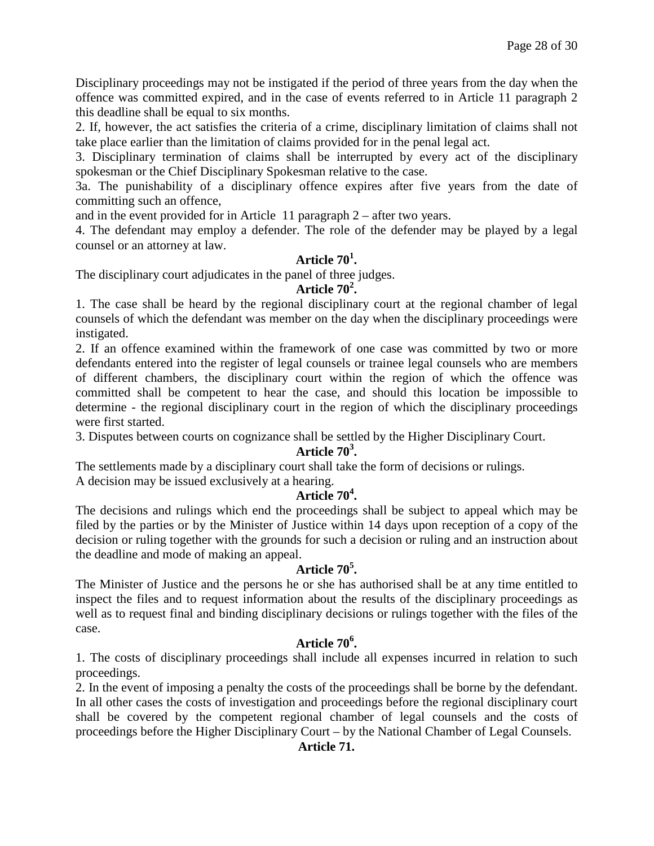Disciplinary proceedings may not be instigated if the period of three years from the day when the offence was committed expired, and in the case of events referred to in Article 11 paragraph 2 this deadline shall be equal to six months.

2. If, however, the act satisfies the criteria of a crime, disciplinary limitation of claims shall not take place earlier than the limitation of claims provided for in the penal legal act.

3. Disciplinary termination of claims shall be interrupted by every act of the disciplinary spokesman or the Chief Disciplinary Spokesman relative to the case.

3a. The punishability of a disciplinary offence expires after five years from the date of committing such an offence,

and in the event provided for in Article 11 paragraph 2 – after two years.

4. The defendant may employ a defender. The role of the defender may be played by a legal counsel or an attorney at law.

# **Article 70<sup>1</sup> .**

The disciplinary court adjudicates in the panel of three judges.

# **Article 70<sup>2</sup> .**

1. The case shall be heard by the regional disciplinary court at the regional chamber of legal counsels of which the defendant was member on the day when the disciplinary proceedings were instigated.

2. If an offence examined within the framework of one case was committed by two or more defendants entered into the register of legal counsels or trainee legal counsels who are members of different chambers, the disciplinary court within the region of which the offence was committed shall be competent to hear the case, and should this location be impossible to determine - the regional disciplinary court in the region of which the disciplinary proceedings were first started.

3. Disputes between courts on cognizance shall be settled by the Higher Disciplinary Court.

# **Article 70<sup>3</sup> .**

The settlements made by a disciplinary court shall take the form of decisions or rulings. A decision may be issued exclusively at a hearing.

# **Article 70<sup>4</sup> .**

The decisions and rulings which end the proceedings shall be subject to appeal which may be filed by the parties or by the Minister of Justice within 14 days upon reception of a copy of the decision or ruling together with the grounds for such a decision or ruling and an instruction about the deadline and mode of making an appeal.

# **Article 70<sup>5</sup> .**

The Minister of Justice and the persons he or she has authorised shall be at any time entitled to inspect the files and to request information about the results of the disciplinary proceedings as well as to request final and binding disciplinary decisions or rulings together with the files of the case.

# **Article 70<sup>6</sup> .**

1. The costs of disciplinary proceedings shall include all expenses incurred in relation to such proceedings.

2. In the event of imposing a penalty the costs of the proceedings shall be borne by the defendant. In all other cases the costs of investigation and proceedings before the regional disciplinary court shall be covered by the competent regional chamber of legal counsels and the costs of proceedings before the Higher Disciplinary Court – by the National Chamber of Legal Counsels.

### **Article 71.**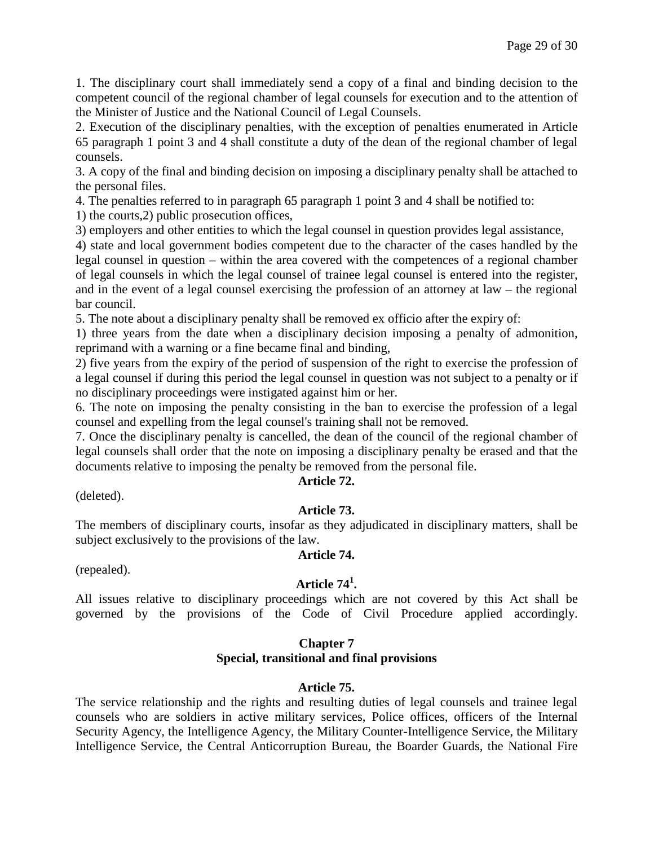1. The disciplinary court shall immediately send a copy of a final and binding decision to the competent council of the regional chamber of legal counsels for execution and to the attention of the Minister of Justice and the National Council of Legal Counsels.

2. Execution of the disciplinary penalties, with the exception of penalties enumerated in Article 65 paragraph 1 point 3 and 4 shall constitute a duty of the dean of the regional chamber of legal counsels.

3. A copy of the final and binding decision on imposing a disciplinary penalty shall be attached to the personal files.

4. The penalties referred to in paragraph 65 paragraph 1 point 3 and 4 shall be notified to:

1) the courts,2) public prosecution offices,

3) employers and other entities to which the legal counsel in question provides legal assistance,

4) state and local government bodies competent due to the character of the cases handled by the legal counsel in question – within the area covered with the competences of a regional chamber of legal counsels in which the legal counsel of trainee legal counsel is entered into the register, and in the event of a legal counsel exercising the profession of an attorney at law – the regional bar council.

5. The note about a disciplinary penalty shall be removed ex officio after the expiry of:

1) three years from the date when a disciplinary decision imposing a penalty of admonition, reprimand with a warning or a fine became final and binding,

2) five years from the expiry of the period of suspension of the right to exercise the profession of a legal counsel if during this period the legal counsel in question was not subject to a penalty or if no disciplinary proceedings were instigated against him or her.

6. The note on imposing the penalty consisting in the ban to exercise the profession of a legal counsel and expelling from the legal counsel's training shall not be removed.

7. Once the disciplinary penalty is cancelled, the dean of the council of the regional chamber of legal counsels shall order that the note on imposing a disciplinary penalty be erased and that the documents relative to imposing the penalty be removed from the personal file.

### **Article 72.**

(deleted).

### **Article 73.**

The members of disciplinary courts, insofar as they adjudicated in disciplinary matters, shall be subject exclusively to the provisions of the law.

### **Article 74.**

(repealed).

# **Article 74<sup>1</sup> .**

All issues relative to disciplinary proceedings which are not covered by this Act shall be governed by the provisions of the Code of Civil Procedure applied accordingly.

### **Chapter 7**

### **Special, transitional and final provisions**

### **Article 75.**

The service relationship and the rights and resulting duties of legal counsels and trainee legal counsels who are soldiers in active military services, Police offices, officers of the Internal Security Agency, the Intelligence Agency, the Military Counter-Intelligence Service, the Military Intelligence Service, the Central Anticorruption Bureau, the Boarder Guards, the National Fire